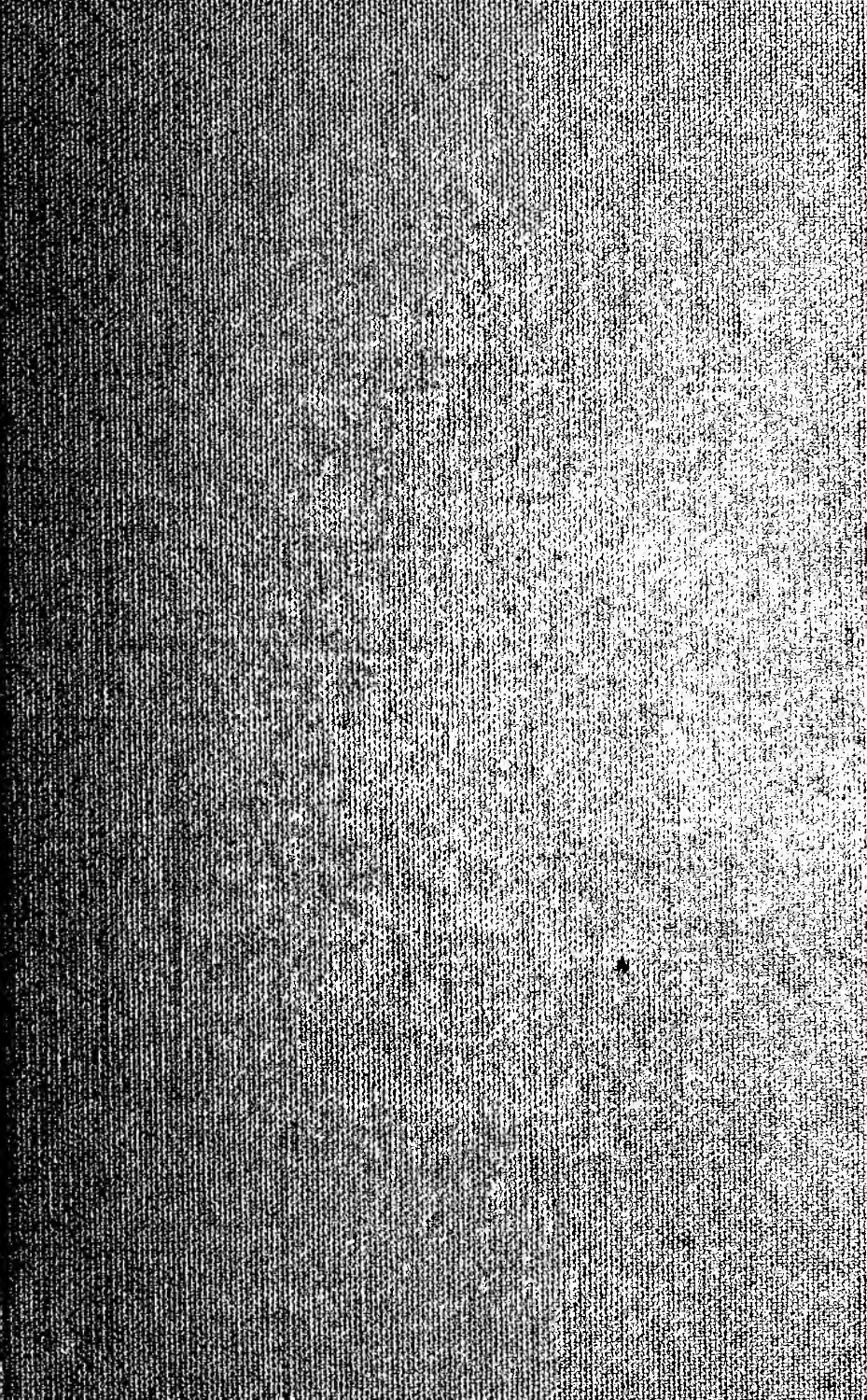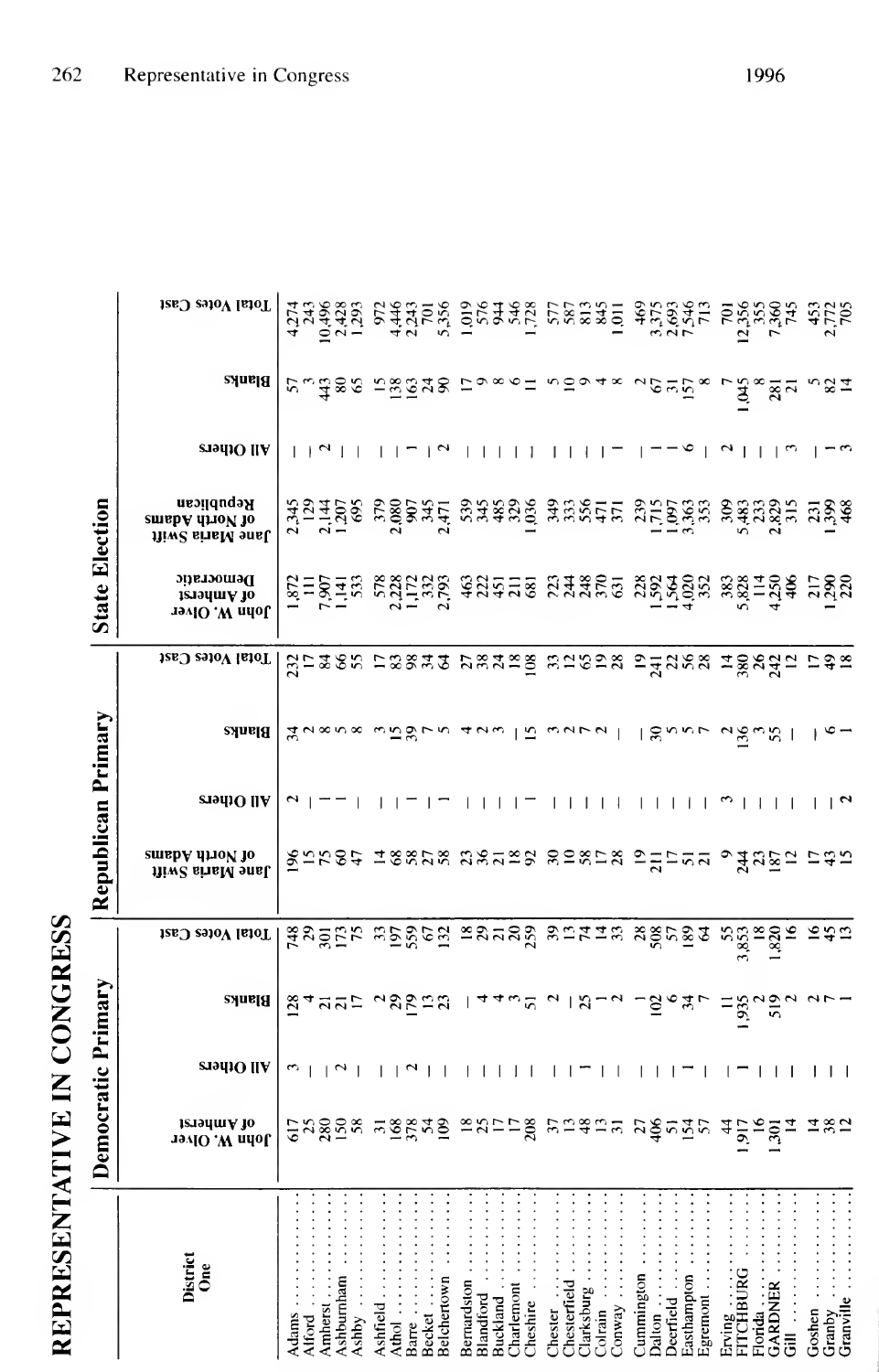|                                    | Democratic Primary                                                                  |                       |                                                          |                                                                     | Republican Primary                         |                      |                                                                                                                                                                                                                                                                                                                                                                                                                               |                                                                                                                                                    | <b>State Election</b>                                               |                                                                                                                |                                               |                                             |                                       |
|------------------------------------|-------------------------------------------------------------------------------------|-----------------------|----------------------------------------------------------|---------------------------------------------------------------------|--------------------------------------------|----------------------|-------------------------------------------------------------------------------------------------------------------------------------------------------------------------------------------------------------------------------------------------------------------------------------------------------------------------------------------------------------------------------------------------------------------------------|----------------------------------------------------------------------------------------------------------------------------------------------------|---------------------------------------------------------------------|----------------------------------------------------------------------------------------------------------------|-----------------------------------------------|---------------------------------------------|---------------------------------------|
| District<br>One                    | іслэцшу јо<br>лэл1О .W пиоЈ                                                         | <b>SIMPO IIV</b>      | Blanks                                                   | <b>Total Votes Cast</b>                                             | ef North Adams<br>Jane Maria Swift         | <b>SIMPO IIV</b>     | Blanks                                                                                                                                                                                                                                                                                                                                                                                                                        | <b>Total Votes Cast</b>                                                                                                                            | Democratic<br>ieradmA io<br>лэмО .W плог                            | Republican<br>ef North Adams<br>Jane Maria Swift                                                               | sjəyiQ HV                                     | Blanks                                      | Total Votes Cast                      |
| Adams                              |                                                                                     |                       |                                                          |                                                                     |                                            |                      |                                                                                                                                                                                                                                                                                                                                                                                                                               |                                                                                                                                                    |                                                                     |                                                                                                                |                                               |                                             |                                       |
| Amherst<br>Alford                  |                                                                                     |                       |                                                          |                                                                     |                                            |                      |                                                                                                                                                                                                                                                                                                                                                                                                                               |                                                                                                                                                    |                                                                     |                                                                                                                |                                               |                                             |                                       |
| Ashburnhan<br>Ashby                |                                                                                     |                       |                                                          |                                                                     |                                            | $\sim$ 1 $-$ 1       |                                                                                                                                                                                                                                                                                                                                                                                                                               |                                                                                                                                                    |                                                                     |                                                                                                                | $\left  \begin{array}{c} \end{array} \right $ |                                             | 778833<br>277772<br>70000             |
| Ashfield                           |                                                                                     |                       |                                                          |                                                                     |                                            |                      |                                                                                                                                                                                                                                                                                                                                                                                                                               |                                                                                                                                                    |                                                                     |                                                                                                                |                                               |                                             |                                       |
|                                    |                                                                                     |                       |                                                          |                                                                     |                                            |                      |                                                                                                                                                                                                                                                                                                                                                                                                                               |                                                                                                                                                    |                                                                     |                                                                                                                |                                               |                                             |                                       |
| Belchertown<br><b>Becket</b>       | $\tilde{c}$ ងន័ក្ខន្ត មន្ត្រីជូទ្ធ និងក្នុងនី មកនិងកម្ម អន្តិមកម្ម $\tilde{c}$ មកទី | 0   0   1   1   0   1 | $\vec{a}$ <sub>4</sub> 225 98558 14408 918-9 - 56 2 - 58 | ងី៦២៩២ ដូចទី២៥ នី៦២៩៦ ខ្លួនក្នុងមន្ត្រីខ្លួន សន្ទឹតទីកូនីកូនីកូនីកូ | ดีสหอะ สดนหน สนนธน ขอนอน จะีอยช จริยชิล อน | $ $ $ $ $ $ $  $ $-$ | $\texttt{Q}(\texttt{Q},\texttt{Q},\texttt{Q},\texttt{Q},\texttt{Q},\texttt{Q},\texttt{Q}) = \texttt{Q}(\texttt{Q},\texttt{Q},\texttt{Q},\texttt{Q}) + \texttt{Q}(\texttt{Q},\texttt{Q},\texttt{Q},\texttt{Q}) + \texttt{Q}(\texttt{Q},\texttt{Q},\texttt{Q},\texttt{Q}) + \texttt{Q}(\texttt{Q},\texttt{Q},\texttt{Q},\texttt{Q}) + \texttt{Q}(\texttt{Q},\texttt{Q},\texttt{Q},\texttt{Q}) + \texttt{Q}(\texttt{Q},\texttt{$ | $\mathbb{S}_{\mathbb{Z}}$ and resear the state states of $\mathbb{S}_{\mathbb{Z}}$ and $\mathbb{S}_{\mathbb{Z}}$ and $\mathbb{Z}$ and $\mathbb{Z}$ | ក្ក្កុម ខេត្តដឹកនូវ ក្នុងក្នុម ស្តុងនូខ ខេត្តដឹកនូវ ក្នុង ក្នុងស្តុ | agaida ya sarta ya sa za shi ya kuma ya shi ya shi ya shi ya shi ya shi ya shi ya kuma ya kuma ya kuma ya kuma | 1171 <sup>o</sup>                             | rude a në dua nomo ndorra u priba u disisti | e and a search present a contre broad |
| Bernardston                        |                                                                                     |                       |                                                          |                                                                     |                                            |                      |                                                                                                                                                                                                                                                                                                                                                                                                                               |                                                                                                                                                    |                                                                     |                                                                                                                |                                               |                                             |                                       |
| Blandford<br><b>Buckland</b>       |                                                                                     |                       |                                                          |                                                                     |                                            |                      |                                                                                                                                                                                                                                                                                                                                                                                                                               |                                                                                                                                                    |                                                                     |                                                                                                                |                                               |                                             |                                       |
| <b>harlemon</b><br><b>Cheshire</b> |                                                                                     |                       |                                                          |                                                                     |                                            |                      |                                                                                                                                                                                                                                                                                                                                                                                                                               |                                                                                                                                                    |                                                                     |                                                                                                                |                                               |                                             |                                       |
| Thester                            |                                                                                     |                       |                                                          |                                                                     |                                            |                      |                                                                                                                                                                                                                                                                                                                                                                                                                               |                                                                                                                                                    |                                                                     |                                                                                                                |                                               |                                             |                                       |
| <b>Chesterfield</b><br>Clarksburg  |                                                                                     |                       |                                                          |                                                                     |                                            |                      |                                                                                                                                                                                                                                                                                                                                                                                                                               |                                                                                                                                                    |                                                                     |                                                                                                                |                                               |                                             |                                       |
| yaway<br>Dolrain                   |                                                                                     |                       |                                                          |                                                                     |                                            |                      |                                                                                                                                                                                                                                                                                                                                                                                                                               |                                                                                                                                                    |                                                                     |                                                                                                                |                                               |                                             |                                       |
| Cummington                         |                                                                                     |                       |                                                          |                                                                     |                                            |                      |                                                                                                                                                                                                                                                                                                                                                                                                                               |                                                                                                                                                    |                                                                     |                                                                                                                |                                               |                                             |                                       |
| beerfield.<br>Jalton               |                                                                                     |                       |                                                          |                                                                     |                                            |                      |                                                                                                                                                                                                                                                                                                                                                                                                                               |                                                                                                                                                    |                                                                     |                                                                                                                |                                               |                                             |                                       |
| codumption                         |                                                                                     |                       |                                                          |                                                                     |                                            |                      |                                                                                                                                                                                                                                                                                                                                                                                                                               |                                                                                                                                                    |                                                                     |                                                                                                                | $\circ$                                       |                                             |                                       |
| gremont                            |                                                                                     |                       |                                                          |                                                                     |                                            |                      |                                                                                                                                                                                                                                                                                                                                                                                                                               |                                                                                                                                                    |                                                                     |                                                                                                                | $\perp$                                       |                                             |                                       |
| Erving<br>FITCHBURG                |                                                                                     |                       |                                                          |                                                                     |                                            |                      |                                                                                                                                                                                                                                                                                                                                                                                                                               |                                                                                                                                                    |                                                                     |                                                                                                                |                                               |                                             |                                       |
| Florida<br>GARDNER                 |                                                                                     |                       |                                                          |                                                                     |                                            |                      |                                                                                                                                                                                                                                                                                                                                                                                                                               |                                                                                                                                                    |                                                                     |                                                                                                                |                                               |                                             |                                       |
|                                    |                                                                                     |                       | $\frac{5}{19}$                                           |                                                                     |                                            |                      |                                                                                                                                                                                                                                                                                                                                                                                                                               |                                                                                                                                                    |                                                                     |                                                                                                                | $0$       $\omega$                            |                                             |                                       |
|                                    |                                                                                     |                       |                                                          |                                                                     |                                            |                      |                                                                                                                                                                                                                                                                                                                                                                                                                               |                                                                                                                                                    |                                                                     |                                                                                                                |                                               |                                             |                                       |
| Goshen<br>Granby<br>Granville      |                                                                                     | $  \  $               |                                                          |                                                                     |                                            |                      |                                                                                                                                                                                                                                                                                                                                                                                                                               |                                                                                                                                                    |                                                                     |                                                                                                                |                                               | 0.87                                        | 378                                   |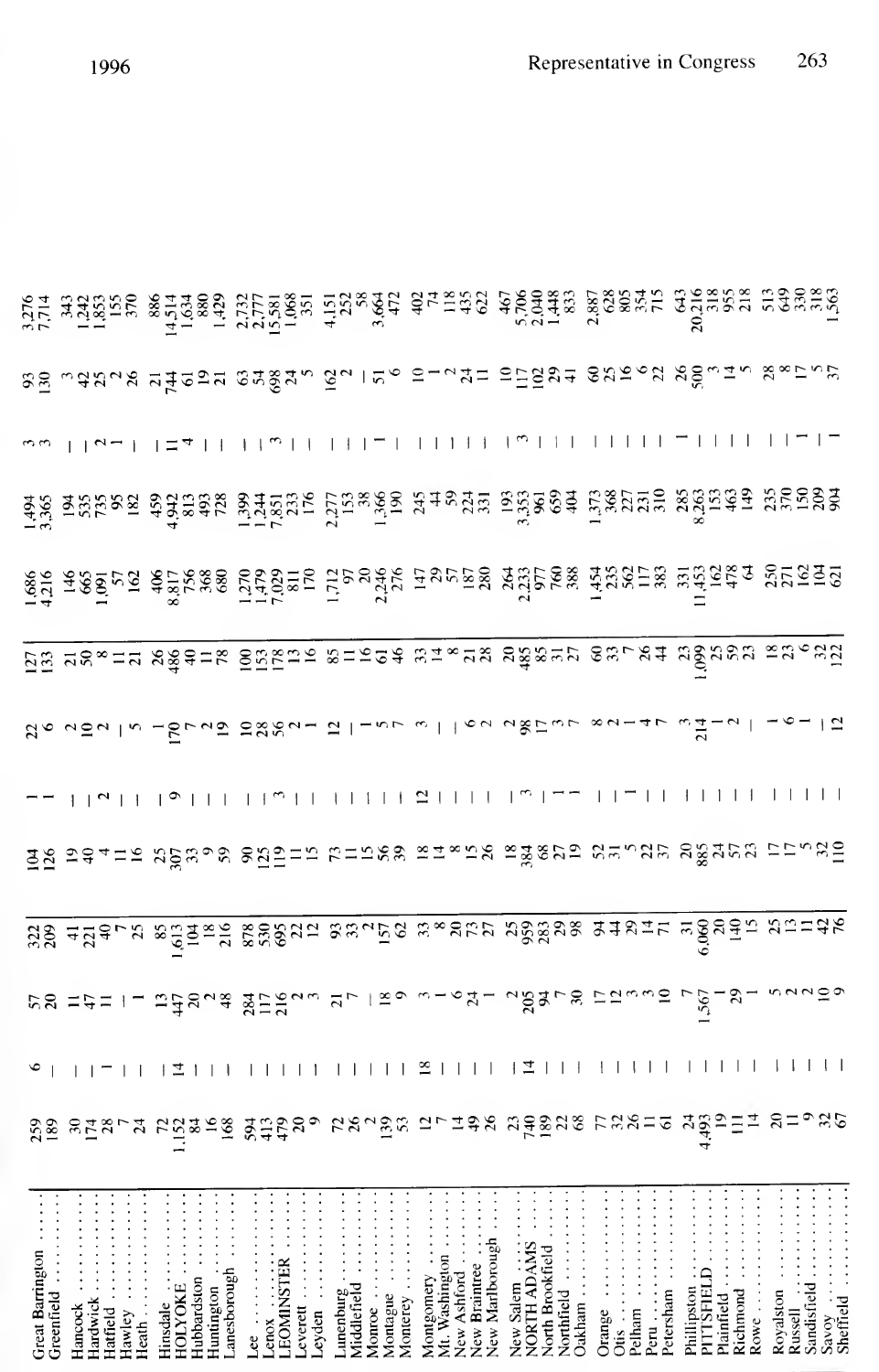| er ander salge strenge i dans de de lang de lang mangement andere salgement                                                                                                                                                     |  |       |         |             |            |  |  |  |  |          |  |  |  |  |  |  |  |  |          |  |         |      |           |                        |  |
|---------------------------------------------------------------------------------------------------------------------------------------------------------------------------------------------------------------------------------|--|-------|---------|-------------|------------|--|--|--|--|----------|--|--|--|--|--|--|--|--|----------|--|---------|------|-----------|------------------------|--|
| 8월 ~약지역8 디콜즈의디 3명좋지은 옆의 I 디오 드 _ u V 디 디디 그리스 2 - S V 디오 V V 영 U 그 이 X s 디 v V V                                                                                                                                                |  |       |         |             |            |  |  |  |  |          |  |  |  |  |  |  |  |  |          |  |         |      |           |                        |  |
| ∾∾   ∾−   ⊒す     ∾      −         ∾          −       − −                                                                                                                                                                        |  |       |         |             |            |  |  |  |  |          |  |  |  |  |  |  |  |  |          |  |         |      |           |                        |  |
| an ang pag-ang ang pagkalang mang mang pag-ang pag-ang pag-ang pag-ang pag-ang pag-ang pag-ang pag-ang pag-ang<br>Taong pag-ang pag-ang pag-ang pag-ang pag-ang pag-ang pag-ang pag-ang pag-ang pag-ang pag-ang pag-ang pag-ang |  |       |         |             |            |  |  |  |  |          |  |  |  |  |  |  |  |  |          |  |         |      |           |                        |  |
|                                                                                                                                                                                                                                 |  |       |         |             |            |  |  |  |  |          |  |  |  |  |  |  |  |  |          |  |         |      |           |                        |  |
| <u>Hu ng∞=n gga=s Sugang m=nga wa∞ng gamu sa Lga dag</u> ung <sub>ad</sub>                                                                                                                                                      |  |       |         |             |            |  |  |  |  |          |  |  |  |  |  |  |  |  |          |  |         |      |           |                        |  |
|                                                                                                                                                                                                                                 |  |       |         |             |            |  |  |  |  |          |  |  |  |  |  |  |  |  |          |  |         |      |           |                        |  |
| --    טוון וסון דריון מין ווונצונון ומין וויסו ווטובר<br>--                                                                                                                                                                     |  |       |         |             |            |  |  |  |  |          |  |  |  |  |  |  |  |  |          |  |         |      |           |                        |  |
| ਉੱਠ ਤੁਰੰਕ⊐ਰ ਸ਼ੁਟੈਲਿਕਲ ਅਸੁਹੈ⊐ਹ ਸਿਜਨਲ ਕਸ਼∞ਹੁੱਲ ਕੁਝੋਂ ਅਤੇ ਅਦੇ ਹਾਸ ਅਤੇ ਅਲੈਸ਼ਾਅ ਸਿਸਪਾਸ                                                                                                                                               |  |       |         |             |            |  |  |  |  |          |  |  |  |  |  |  |  |  |          |  |         |      |           |                        |  |
| <u>us dela personalista della segna della segna della segna della segna della segna della segna della segna dell</u>                                                                                                            |  |       |         |             |            |  |  |  |  |          |  |  |  |  |  |  |  |  |          |  |         |      |           |                        |  |
| にい コロロニー けいとうみ 終けれる ピー・ヨウ とーうおー とびみてい けいとうの てっしょし さくこの                                                                                                                                                                          |  |       |         |             |            |  |  |  |  |          |  |  |  |  |  |  |  |  |          |  |         |      |           |                        |  |
|                                                                                                                                                                                                                                 |  |       |         |             |            |  |  |  |  |          |  |  |  |  |  |  |  |  |          |  |         |      |           |                        |  |
| ਡੀਲ ਬੰਦਿਕਾ ਖ਼ਾਸ ਸੰਯੋਕਰਕ ਬੈਟੀਟੈਂਡ ਅਨੰਕਲ ਹਾਸਿਰੈਂਡ ਅਤੇ ਲੁਪਨ ਸੁਖਾਰਾ ਖ਼ਾਣੀ ਹੁੰਦਾ ਪ੍ਰਦੇਸ਼ ਦਾ ਪ੍ਰਨਾ                                                                                                                                    |  |       |         |             |            |  |  |  |  |          |  |  |  |  |  |  |  |  |          |  |         |      |           |                        |  |
|                                                                                                                                                                                                                                 |  |       |         |             |            |  |  |  |  |          |  |  |  |  |  |  |  |  |          |  |         |      |           |                        |  |
|                                                                                                                                                                                                                                 |  | leath | insdale | lubbardston | anesboroug |  |  |  |  | lontague |  |  |  |  |  |  |  |  | etersham |  | lichmon | lowe | toyalstor | Russell<br>Sandisfield |  |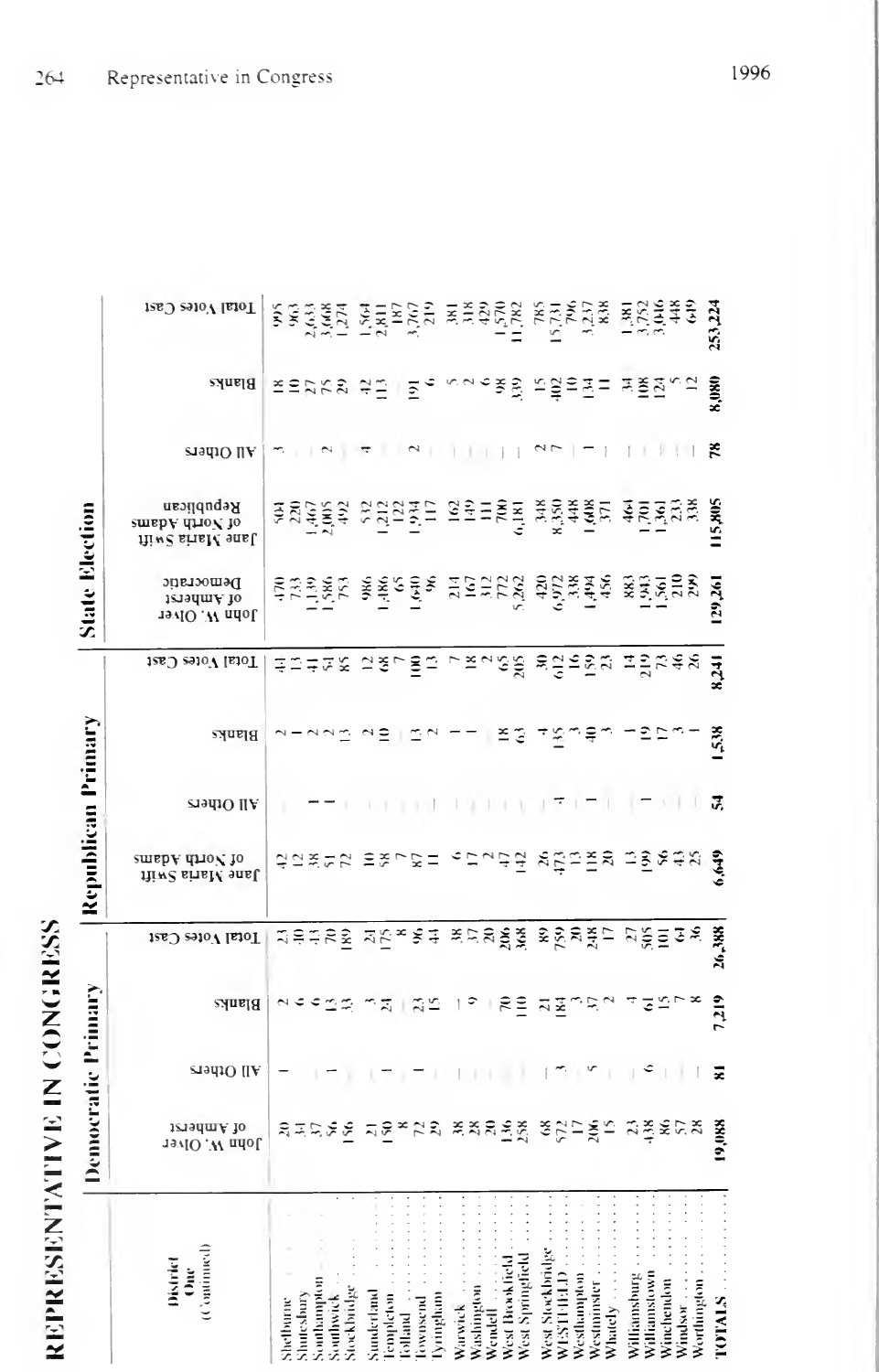|                                         | Democratic Primary                                      |                     |                         |                    | Republican Primary                   |                   |                         |                                                              | State Election                                   |                                                                                                                                                                    |                                          |               |                                            |
|-----------------------------------------|---------------------------------------------------------|---------------------|-------------------------|--------------------|--------------------------------------|-------------------|-------------------------|--------------------------------------------------------------|--------------------------------------------------|--------------------------------------------------------------------------------------------------------------------------------------------------------------------|------------------------------------------|---------------|--------------------------------------------|
| District<br>One<br>(Continued)          | DI Amherst<br><b>Јоћп W. Olver</b>                      | <b>Product</b>      | Blanks                  | Total Votes Cast   | emsbA drioZ 10<br>fliwe sinsly onst. | аэліО ША          | Blanks                  | Total Votes Cast                                             | Democratic<br>1219dmA 10<br><b>John W. Olver</b> | Republican<br>emsbA driok to<br>fliw2 sins1/ snsl.                                                                                                                 | <b>STALIO ILA</b>                        | Blanks        | Total Votes Cast                           |
|                                         |                                                         |                     |                         |                    |                                      |                   |                         |                                                              |                                                  | š                                                                                                                                                                  |                                          |               |                                            |
| Shelburne                               |                                                         |                     |                         |                    |                                      |                   |                         |                                                              |                                                  |                                                                                                                                                                    |                                          |               |                                            |
| Shutesbury                              |                                                         |                     |                         |                    |                                      |                   |                         |                                                              |                                                  |                                                                                                                                                                    |                                          |               |                                            |
|                                         |                                                         |                     |                         |                    |                                      |                   |                         |                                                              |                                                  | 22154                                                                                                                                                              | $\begin{array}{c} \n\hline\n\end{array}$ |               |                                            |
| Southampton<br>Southwick<br>Stockbridge |                                                         |                     |                         | <b>WAASS</b>       | 오으쫏눈찬                                |                   | ∾ಗಿ≌                    | キロキグミー                                                       | erek                                             |                                                                                                                                                                    |                                          |               |                                            |
|                                         |                                                         |                     | 신호호호 수회Ⅱ중일              |                    |                                      |                   |                         |                                                              | š                                                |                                                                                                                                                                    | π                                        | 포르벌저방 화군이 필요  | s s grand den bland<br>S s grand den bland |
| Sunderland<br>Templeton                 |                                                         |                     |                         |                    |                                      |                   | $\sim$ $\approx$ $\sim$ |                                                              | ×ř.                                              |                                                                                                                                                                    | ٠                                        |               |                                            |
| <b>Gilland</b>                          |                                                         |                     |                         |                    |                                      |                   |                         |                                                              |                                                  |                                                                                                                                                                    |                                          |               |                                            |
| lownsciid                               |                                                         |                     |                         |                    | ミミレごニ                                |                   |                         |                                                              | ક દૂર<br>દૂર                                     | 영양화학교                                                                                                                                                              | $\sim$                                   |               |                                            |
| lyringhan                               |                                                         | Ξ.                  |                         | 75837              |                                      |                   | ≃ ∾                     | $\mathfrak{B} \subseteq \mathfrak{B} \subseteq \mathfrak{B}$ |                                                  |                                                                                                                                                                    |                                          |               |                                            |
| Warwick                                 |                                                         | <b>THE LIMB</b>     |                         |                    |                                      | <b>CONTRACTOR</b> |                         |                                                              |                                                  |                                                                                                                                                                    |                                          | ''이언중요' 유율무조구 |                                            |
| Washington                              |                                                         |                     | ه ۱                     |                    |                                      |                   |                         |                                                              | $75222$<br>$7722$<br>$722$                       |                                                                                                                                                                    |                                          |               |                                            |
| Wendell                                 |                                                         |                     |                         |                    |                                      |                   |                         |                                                              |                                                  |                                                                                                                                                                    |                                          |               |                                            |
| West Brookfield                         |                                                         |                     |                         |                    |                                      |                   | ≊G                      |                                                              |                                                  |                                                                                                                                                                    |                                          |               |                                            |
| West Springfield                        |                                                         |                     | $ R = \pi \frac{d}{dx}$ | 예의 이 이 이 이 이 이 있다. | erudā grozg                          |                   |                         | 너희서정꽃 목질부림의 프림유용원                                            |                                                  | $99 = 5$ $\frac{1}{2}$ $\frac{1}{2}$ $\frac{1}{2}$ $\frac{1}{2}$ $\frac{1}{2}$ $\frac{1}{2}$ $\frac{1}{2}$ $\frac{1}{2}$ $\frac{1}{2}$ $\frac{1}{2}$ $\frac{1}{2}$ |                                          |               |                                            |
| West Stockbridge                        |                                                         |                     |                         |                    |                                      |                   |                         |                                                              |                                                  |                                                                                                                                                                    | $0 - 1 - 1$                              |               | 785<br>1796<br>1857<br>1858                |
| WESTERLE                                |                                                         |                     |                         |                    |                                      | $ T-T $           | 구축                      |                                                              | विधि में बैं<br>संस्कृत में से                   |                                                                                                                                                                    |                                          |               |                                            |
| Westhampton                             |                                                         |                     |                         |                    |                                      |                   |                         |                                                              |                                                  |                                                                                                                                                                    |                                          |               |                                            |
| Nestminster                             |                                                         |                     |                         |                    |                                      |                   | ₹                       |                                                              |                                                  |                                                                                                                                                                    |                                          |               |                                            |
| Whately                                 |                                                         |                     |                         |                    |                                      |                   |                         |                                                              |                                                  |                                                                                                                                                                    |                                          |               |                                            |
| Williamsburg                            |                                                         | u                   |                         |                    |                                      |                   |                         |                                                              |                                                  |                                                                                                                                                                    | $\mathbf{1}$                             | <u> 포폴질 일</u> | $\frac{38}{222}$                           |
| Williamstown                            |                                                         | $\hat{\phantom{a}}$ |                         |                    |                                      |                   |                         |                                                              |                                                  |                                                                                                                                                                    |                                          |               |                                            |
| Ninchendon                              |                                                         |                     | ತಲ್                     |                    |                                      | V.                |                         |                                                              | ន្ទ្រីផ្ទះនិ                                     | <b>इ</b> ह्रद्भुस्रेस्                                                                                                                                             |                                          |               |                                            |
| <b>Nindsor</b>                          |                                                         | $\pm 0$             |                         |                    |                                      |                   |                         |                                                              |                                                  |                                                                                                                                                                    | $\vert \vert$                            |               |                                            |
| Worthington                             | ਬੜਾਨਣਾਰ ਜਾਨੂੰ ਕਲ ਬਾਬਾ ਸ਼ੁਰੂਲ ਡਿਸਿਟ੍ਰੀਜ਼ ਸ਼ੁਕ੍ਰੋਡਰਾ ਸ਼ੁਕ |                     |                         |                    | ⊐ತ್ರಿಳಿ≎ನಿ                           |                   |                         |                                                              |                                                  |                                                                                                                                                                    |                                          |               |                                            |
| EQUOL                                   | 19,088                                                  | ᆽ                   | 19                      | 26,388             | 6,649                                | J,                | 538                     | 8,241                                                        | 129,261                                          | 115,805                                                                                                                                                            | x                                        | 8,080         | 253,224                                    |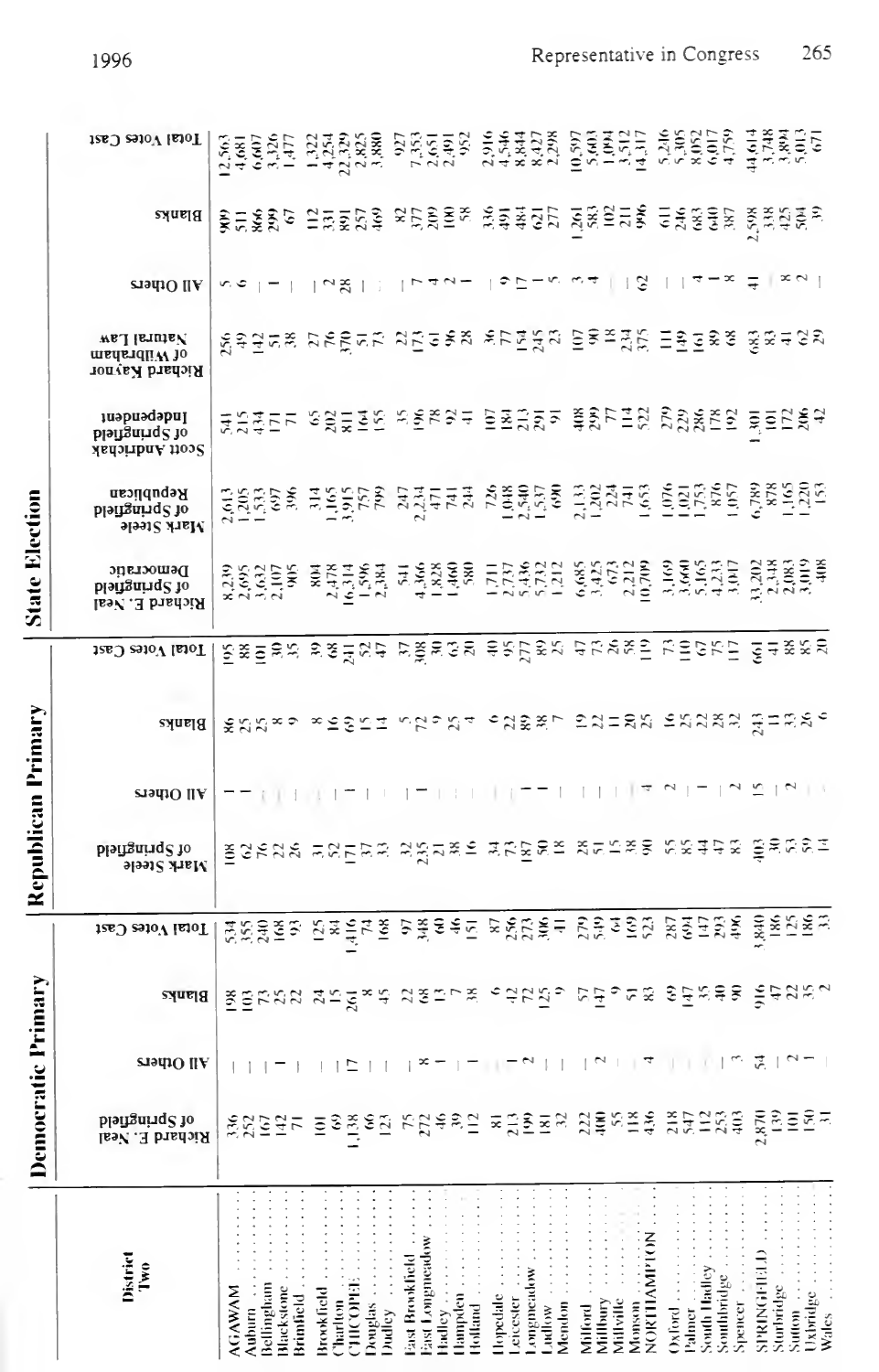|                               | ≊                                        | mocratic Primary  |                                                                        |                                                                    | Republican Primary                                                                                     |                                                     |                                             |                                                               | State                                          | Election                                             |                                                  |                                                     |                                                                    |                                                                                                                                                                                                                                 |                                                                                                                                                                  |
|-------------------------------|------------------------------------------|-------------------|------------------------------------------------------------------------|--------------------------------------------------------------------|--------------------------------------------------------------------------------------------------------|-----------------------------------------------------|---------------------------------------------|---------------------------------------------------------------|------------------------------------------------|------------------------------------------------------|--------------------------------------------------|-----------------------------------------------------|--------------------------------------------------------------------|---------------------------------------------------------------------------------------------------------------------------------------------------------------------------------------------------------------------------------|------------------------------------------------------------------------------------------------------------------------------------------------------------------|
| District<br>Two               | pjərigning 10<br>Richard E. Neal         | <b>STALIO IIA</b> | Blanks                                                                 | Total Votes Cast                                                   | pjauaud s jo<br>Mark Steele                                                                            | All Others                                          | Blanks                                      | Total Votes Cast                                              | решостанс<br>bləngarıq ? 10<br>Richard E. Neal | Republican<br>of Springfield<br>Mark Steele          | Independent<br>plangning 10<br>Хепэпрад поэд     | wad lenna?<br>madardliW 10<br><b>Richard Kaynor</b> | All Others                                                         | Blanks                                                                                                                                                                                                                          | Total Votes Cast                                                                                                                                                 |
| <b>AGAWAM</b>                 |                                          |                   |                                                                        |                                                                    |                                                                                                        |                                                     |                                             |                                                               |                                                |                                                      |                                                  |                                                     |                                                                    |                                                                                                                                                                                                                                 |                                                                                                                                                                  |
| $\frac{1}{2}$<br>Auburn       |                                          |                   |                                                                        |                                                                    |                                                                                                        |                                                     |                                             |                                                               |                                                |                                                      |                                                  |                                                     |                                                                    |                                                                                                                                                                                                                                 |                                                                                                                                                                  |
| $\frac{1}{2}$<br>Bellingham   |                                          |                   |                                                                        |                                                                    |                                                                                                        |                                                     |                                             |                                                               |                                                |                                                      |                                                  |                                                     |                                                                    |                                                                                                                                                                                                                                 |                                                                                                                                                                  |
| <b>Hackstone</b><br>Brimfield |                                          |                   |                                                                        |                                                                    |                                                                                                        |                                                     |                                             |                                                               |                                                |                                                      |                                                  |                                                     | ०० │ – │ │ ∪४४ │ ∶ │ │ │ │ ०० – ००० ०० │ │ ८३ │ │ ४ – ४ : ९ │ ४० │ |                                                                                                                                                                                                                                 | e a balt danas a belas e sarda besela da belas eras.<br>1986 - Palas e belas e belas besela da belas eras.<br>1986 - Palas e belas e belas besela da belas eras. |
|                               |                                          |                   |                                                                        |                                                                    |                                                                                                        |                                                     |                                             |                                                               |                                                |                                                      |                                                  |                                                     |                                                                    |                                                                                                                                                                                                                                 |                                                                                                                                                                  |
| <b>Brookfield</b>             |                                          |                   |                                                                        |                                                                    |                                                                                                        |                                                     |                                             |                                                               |                                                |                                                      |                                                  |                                                     |                                                                    |                                                                                                                                                                                                                                 |                                                                                                                                                                  |
| .<br>CHICOPEL:<br>Charlton    |                                          |                   |                                                                        |                                                                    |                                                                                                        |                                                     |                                             |                                                               |                                                |                                                      |                                                  |                                                     |                                                                    |                                                                                                                                                                                                                                 |                                                                                                                                                                  |
| $\frac{1}{2}$<br>Douglas      |                                          |                   |                                                                        |                                                                    |                                                                                                        |                                                     |                                             |                                                               |                                                |                                                      |                                                  |                                                     |                                                                    |                                                                                                                                                                                                                                 |                                                                                                                                                                  |
| $\vdots$<br>Dudley            |                                          |                   |                                                                        |                                                                    |                                                                                                        |                                                     |                                             |                                                               |                                                |                                                      |                                                  |                                                     |                                                                    |                                                                                                                                                                                                                                 |                                                                                                                                                                  |
| East Brookfield               |                                          |                   |                                                                        |                                                                    |                                                                                                        |                                                     |                                             |                                                               |                                                |                                                      |                                                  |                                                     |                                                                    |                                                                                                                                                                                                                                 |                                                                                                                                                                  |
| East Longmeadow               |                                          |                   |                                                                        |                                                                    |                                                                                                        |                                                     |                                             |                                                               |                                                |                                                      |                                                  |                                                     |                                                                    |                                                                                                                                                                                                                                 |                                                                                                                                                                  |
| Hadley                        |                                          |                   |                                                                        |                                                                    |                                                                                                        |                                                     |                                             |                                                               |                                                |                                                      |                                                  |                                                     |                                                                    |                                                                                                                                                                                                                                 |                                                                                                                                                                  |
| Hampden<br>Holland            |                                          |                   |                                                                        |                                                                    |                                                                                                        |                                                     |                                             |                                                               |                                                |                                                      |                                                  |                                                     |                                                                    |                                                                                                                                                                                                                                 |                                                                                                                                                                  |
|                               |                                          |                   |                                                                        |                                                                    |                                                                                                        |                                                     |                                             |                                                               |                                                |                                                      |                                                  |                                                     |                                                                    |                                                                                                                                                                                                                                 |                                                                                                                                                                  |
| Hopedale<br>leicester         |                                          |                   |                                                                        |                                                                    |                                                                                                        |                                                     |                                             |                                                               |                                                |                                                      |                                                  |                                                     |                                                                    |                                                                                                                                                                                                                                 |                                                                                                                                                                  |
| ongmeadow                     |                                          |                   |                                                                        |                                                                    |                                                                                                        |                                                     |                                             |                                                               |                                                |                                                      |                                                  |                                                     |                                                                    |                                                                                                                                                                                                                                 |                                                                                                                                                                  |
| wolbu                         |                                          |                   |                                                                        |                                                                    |                                                                                                        |                                                     |                                             |                                                               |                                                |                                                      |                                                  |                                                     |                                                                    |                                                                                                                                                                                                                                 |                                                                                                                                                                  |
| Mendon                        |                                          |                   |                                                                        |                                                                    |                                                                                                        |                                                     |                                             |                                                               |                                                |                                                      |                                                  |                                                     |                                                                    |                                                                                                                                                                                                                                 |                                                                                                                                                                  |
| Milford                       |                                          |                   |                                                                        |                                                                    |                                                                                                        |                                                     |                                             |                                                               |                                                |                                                      |                                                  |                                                     |                                                                    |                                                                                                                                                                                                                                 |                                                                                                                                                                  |
| Millbury<br>Millville         |                                          |                   |                                                                        |                                                                    |                                                                                                        |                                                     |                                             |                                                               |                                                |                                                      |                                                  |                                                     |                                                                    |                                                                                                                                                                                                                                 |                                                                                                                                                                  |
| Monson                        |                                          |                   |                                                                        |                                                                    |                                                                                                        |                                                     |                                             |                                                               |                                                |                                                      |                                                  |                                                     |                                                                    |                                                                                                                                                                                                                                 |                                                                                                                                                                  |
| VORTHAMPTON                   |                                          |                   |                                                                        |                                                                    |                                                                                                        |                                                     |                                             |                                                               |                                                |                                                      |                                                  |                                                     |                                                                    |                                                                                                                                                                                                                                 |                                                                                                                                                                  |
| <b>Oxford</b>                 |                                          |                   |                                                                        |                                                                    |                                                                                                        |                                                     |                                             |                                                               |                                                |                                                      |                                                  |                                                     |                                                                    |                                                                                                                                                                                                                                 |                                                                                                                                                                  |
| Palmer                        |                                          |                   |                                                                        |                                                                    |                                                                                                        |                                                     |                                             |                                                               |                                                |                                                      |                                                  |                                                     |                                                                    |                                                                                                                                                                                                                                 |                                                                                                                                                                  |
| South Hadley                  |                                          |                   |                                                                        |                                                                    |                                                                                                        |                                                     |                                             |                                                               |                                                |                                                      |                                                  |                                                     |                                                                    |                                                                                                                                                                                                                                 |                                                                                                                                                                  |
| Southbridge                   |                                          |                   |                                                                        |                                                                    |                                                                                                        |                                                     |                                             |                                                               |                                                |                                                      |                                                  |                                                     |                                                                    |                                                                                                                                                                                                                                 |                                                                                                                                                                  |
| Spencer.                      |                                          |                   |                                                                        |                                                                    |                                                                                                        |                                                     |                                             |                                                               |                                                |                                                      |                                                  |                                                     |                                                                    |                                                                                                                                                                                                                                 |                                                                                                                                                                  |
| <b>SPRINGFIELD</b>            |                                          |                   |                                                                        |                                                                    |                                                                                                        |                                                     |                                             |                                                               |                                                |                                                      |                                                  |                                                     |                                                                    |                                                                                                                                                                                                                                 |                                                                                                                                                                  |
| Sturbridge<br>.<br>Sutton     |                                          |                   |                                                                        |                                                                    |                                                                                                        |                                                     |                                             |                                                               |                                                |                                                      |                                                  |                                                     |                                                                    |                                                                                                                                                                                                                                 |                                                                                                                                                                  |
| Uxbridge<br>Walce             | 몇었으로는 후회통령 선정공항의 계열할수 영흥장등을 운영공항을 열망들었다. |                   | ਭੁਰੋਨਿਸ਼ਲ ਬੰਨਵੈਂਡ ਨੇ ਸ਼ੁਭੇਰਪੁਝ ਵਰੋਸ਼ੀ ਹੁੰਦਾ ਪਾਣੇ ਹਨ ਭੁਰੋਨਤ ਵਿੱਤੇ ਸ਼ੁਰੂ | <u> 앞전문 등 서울 중 남동 이동 동물의 전쟁 대 등 대 등 대 등 대 전 이 전 기 대 등 일</u> 기 전 공동 | $\overline{\mathbf{s}}$ ଓ $\mathbf{s}$ ସ୍ପ କ୍ଷାମ୍ୟିକ କ୍ଷାମ୍ୟିକ କ୍ଷାମ୍ୟିକ କ୍ଷାମ୍ୟିକ କ୍ଷାମ୍ୟିକ କୁଲିଉଡ଼ିଆ | ╾╾ <sub>╏</sub> ┊╽╽┆╿╾╿╵╷╿═╷┆┆┊╎┆┆╿┆┊║┱╺┙┆╾╷╲╸╩╿╝┊┆ | 중심심효과 효율증도로 따른데있다. 승규항说다 회의표법은 동원의보의 분류법원 중 | ਕੁਝ ਦੇਖੁਲ ਡਾਡਵਿੰਲਰ ਅਡੈਂਡਰਖ ਫੈਣਮਿੰਡਲ ਰਸ਼ਿਊਲਰ ਸ਼ੁਰਦਿਸ਼ਦ ਟੈਜ਼ਡਲਰ |                                                | SHES CONSTRUES ANDER PRESENT CHARGES EN LA CONSTRUES | 몇몇몇만나 형림을 찾은 방향방상 이 동물 이 보기 때문에 걸어 넣었다. 이 이 그 사람 | 정화관법의 의능증적의 의도으로의 공납교정의 금융공업은 금융조형 총장표경의            |                                                                    | ङ्केट से से बाद के बाद बाद में बाद में बाद कर रहे हैं। इस बाद में बाद में इस बाद में बाद में इस बाद में बाद मे<br>इस इंद्र बाद से बाद में बाद में बाद में बाद में बाद में बाद में बाद में बाद में बाद में बाद में बाद में बाद म |                                                                                                                                                                  |
|                               |                                          |                   |                                                                        |                                                                    |                                                                                                        |                                                     |                                             |                                                               |                                                |                                                      |                                                  |                                                     |                                                                    |                                                                                                                                                                                                                                 |                                                                                                                                                                  |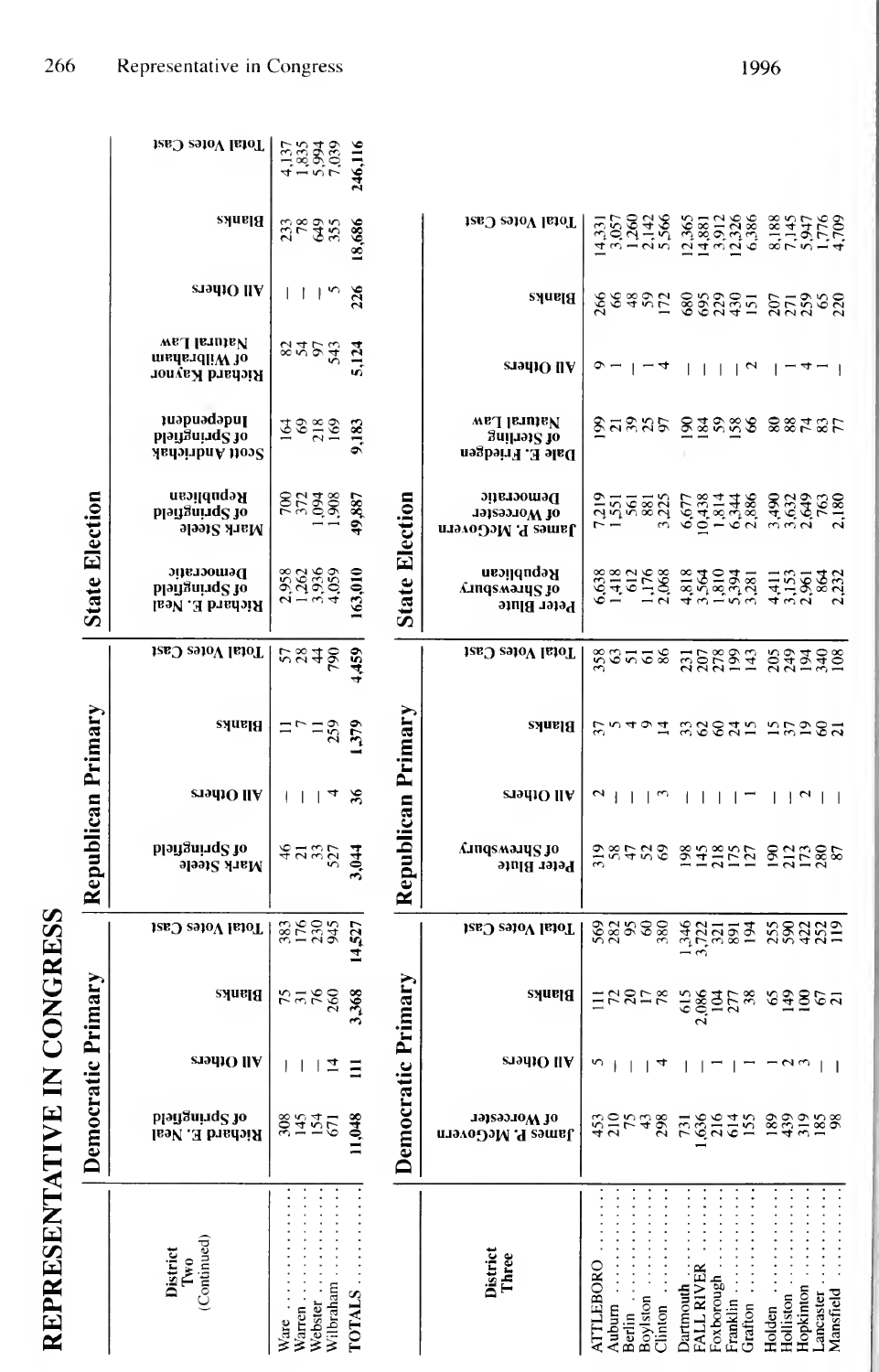|                                                                     | Democratic Primary                             |                                    |                              |                     | Republican Primary           |                  |                                                                                                                                                                                                                                                                                                                                                                             |                         | <b>State Election</b>                                                                                                                                                                                                          |                                                |                                               |                                              |                           |                    |                                             |
|---------------------------------------------------------------------|------------------------------------------------|------------------------------------|------------------------------|---------------------|------------------------------|------------------|-----------------------------------------------------------------------------------------------------------------------------------------------------------------------------------------------------------------------------------------------------------------------------------------------------------------------------------------------------------------------------|-------------------------|--------------------------------------------------------------------------------------------------------------------------------------------------------------------------------------------------------------------------------|------------------------------------------------|-----------------------------------------------|----------------------------------------------|---------------------------|--------------------|---------------------------------------------|
| <b>District</b><br>Two<br>(Continued)                               | pjəyanıaq jo<br>Richard E. Neal                | <b>SIMIO IIA</b>                   | Blanks                       | Total Votes Cast    | bləñgninq2 to<br>Mark Steele | <b>SIMPO HV</b>  | Blanks                                                                                                                                                                                                                                                                                                                                                                      | <b>Total Votes Cast</b> | Democratic<br>pjəyaunds jo<br>Richard E. Neal                                                                                                                                                                                  | Republican<br>pjəngninq2 10<br>Mark Steele     | an Andendent<br>bləngninq2 10<br>менэнын ноэг | wat IsunaV<br>of Wilbraham<br>Richard Kaynor | sjayjQ   V                | Blanks             | Total Votes Cast                            |
| Wilbraham.<br>Webster.<br><b>TOTALS</b><br>Warren.<br>Ware          | 1,048<br>2772                                  | 1112<br>Ξ                          | ಸಿಸಿ ಸಿ<br>568               | 2222<br>14,527      | 4532<br>3,044                | $1114$ $\%$      | $=$ $\overline{z}$ $\overline{z}$ $\overline{z}$ $\overline{z}$ $\overline{z}$ $\overline{z}$ $\overline{z}$ $\overline{z}$ $\overline{z}$ $\overline{z}$ $\overline{z}$ $\overline{z}$ $\overline{z}$ $\overline{z}$ $\overline{z}$ $\overline{z}$ $\overline{z}$ $\overline{z}$ $\overline{z}$ $\overline{z}$ $\overline{z}$ $\overline{z}$ $\overline{z}$ $\overline{z}$ | 2848<br>459             | $28888$<br>$2588$<br>163,010                                                                                                                                                                                                   | <b>PREE</b><br>EREE<br>19,887                  | 188292                                        | gyey<br>5,124                                | 226<br>                   | 18,686<br>ನಿಗೆ ತಿನ | 4,137<br>1,835<br>0,039<br>7,039<br>246,116 |
|                                                                     | emocratic Primary                              |                                    |                              |                     | Republican Primary           |                  |                                                                                                                                                                                                                                                                                                                                                                             |                         | <b>State Election</b>                                                                                                                                                                                                          |                                                |                                               |                                              |                           |                    |                                             |
| District<br>Three                                                   | лэгээлоМ 10<br><b><i>Aanes P. McGovern</i></b> | siadiO IIA                         | Blanks                       | Total Votes Cast    | ллись у 10<br>Beter Blute    | <b>STAND IIA</b> | ерив                                                                                                                                                                                                                                                                                                                                                                        | Total Votes Cast        | Republican<br>Anqsmanys 30<br>Peter Blute                                                                                                                                                                                      | Democratic<br>лэгээлоМ 10<br>James P. McGovern | Watural Law<br>anihəi2 10<br>Dale E. Friedgen | <b>SIMIO HV</b>                              | eanks                     | Total Votes Cast   |                                             |
| ATTLEBORO<br>Auburn<br>Boylston<br>Berlin.<br>Clinton               |                                                | $\sim$ $\mid$ $\mid$ $\mid$ $\sim$ |                              |                     |                              | $9 + 10$         |                                                                                                                                                                                                                                                                                                                                                                             |                         |                                                                                                                                                                                                                                |                                                |                                               | $\circ$ $-$<br>$1 - 4$                       |                           |                    |                                             |
| Foxborough<br>FALL RIVER<br>Grafton<br>Dartmouth<br>Franklin        | duras Eguad satus                              |                                    | $\Xi$ 5352 $\Xi$ 83552 33505 | esses ätings kedas. | Saaras Zaulas Zulas          |                  | gnaed wasan uroen                                                                                                                                                                                                                                                                                                                                                           | seres dessa stats       |                                                                                                                                                                                                                                |                                                | ବ୍ରି ସନ୍ଧାର ବିଷ୍ଟ୍ରିଅଟି ବିଷ୍ଟିସମ              |                                              |                           |                    |                                             |
| .<br>Hopkinton.<br>Lancaster.<br>Holliston.<br>Mansfield<br>Holden. |                                                | $ 1 - 1 - 200 $                    |                              |                     |                              | 111171311        |                                                                                                                                                                                                                                                                                                                                                                             |                         | $0.488$ $0.488$ $0.488$ $0.488$ $0.489$ $0.489$ $0.489$ $0.489$ $0.489$ $0.489$ $0.489$ $0.489$ $0.489$ $0.489$ $0.489$ $0.489$ $0.489$ $0.489$ $0.489$ $0.489$ $0.489$ $0.489$ $0.489$ $0.489$ $0.489$ $0.489$ $0.489$ $0.48$ |                                                |                                               |                                              | <b>Teart Segare Shass</b> |                    |                                             |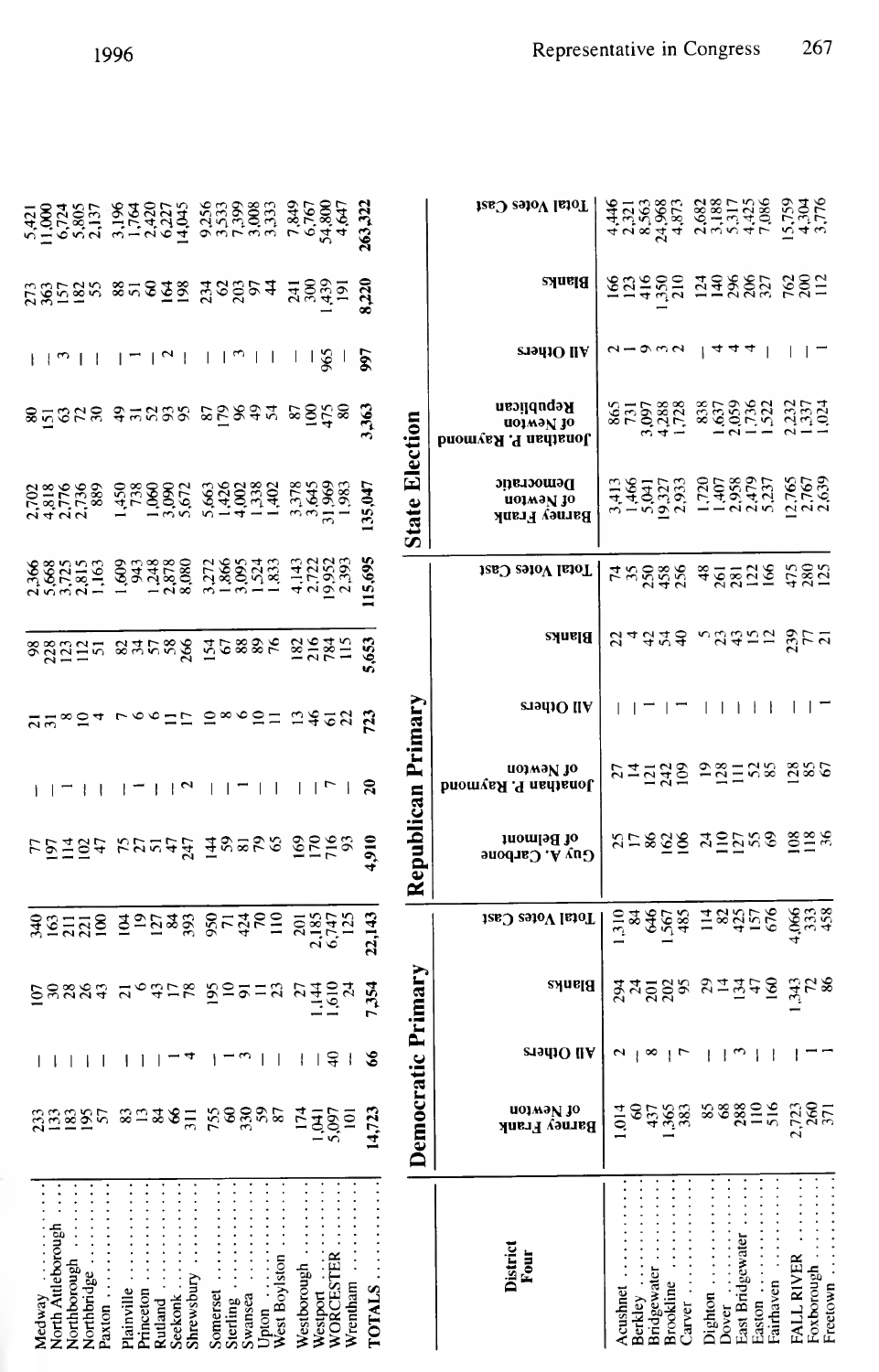| <b>Jorth Attlebor</b><br>Vorthboroug<br>Vorthbridge                           |                                                                                                                                                                                                                                                                                               |                                                                                                                                                                     |                                                                                                                   |                                       |                                                                                             |                                         | ನನ∞≌್              |                                                                               |                                 |                                         |                                                |                                   |                                                                            |                                 |
|-------------------------------------------------------------------------------|-----------------------------------------------------------------------------------------------------------------------------------------------------------------------------------------------------------------------------------------------------------------------------------------------|---------------------------------------------------------------------------------------------------------------------------------------------------------------------|-------------------------------------------------------------------------------------------------------------------|---------------------------------------|---------------------------------------------------------------------------------------------|-----------------------------------------|--------------------|-------------------------------------------------------------------------------|---------------------------------|-----------------------------------------|------------------------------------------------|-----------------------------------|----------------------------------------------------------------------------|---------------------------------|
| Shrewsbury<br>Plainville<br>Princeton<br>Rutland<br>Seekonk<br>motxe          | සියුමුවල සයඉලදී ලිමුසිහුද                                                                                                                                                                                                                                                                     | 11111177                                                                                                                                                            |                                                                                                                   |                                       |                                                                                             |                                         |                    |                                                                               |                                 |                                         | କ୍ଷିପ୍ରାମନ୍ତ କଳ୍ପରାର ଅତ୍ୟିକର ଅବସ୍ଥିତ           | $ 1 \circ 1   1 \circ 1 \circ 1 $ | ដ៏និក្ខុនីង នួងឧទ្ទិន ដ៏ឧន្ទិខ្ម                                           |                                 |
| est Boylstor<br>Somerset<br>swansea<br>Sterling<br>Jpton                      |                                                                                                                                                                                                                                                                                               | $1 - \omega + 1$                                                                                                                                                    |                                                                                                                   |                                       |                                                                                             |                                         |                    |                                                                               |                                 |                                         |                                                | $\Box$ $\Box$                     |                                                                            |                                 |
| VORCESTEI<br>Nestborough<br>Vrentham<br><b>OTALS</b><br>Vestport              | $1,300$<br>$-1,300$<br>$-1,72$<br>$-1,72$                                                                                                                                                                                                                                                     | 11312                                                                                                                                                               | ਟੈਂਡ ਲਾਲ ਦੇ ਪਾਰਟਾਲ ਕੋਰਣ⊐ਲਾ <i>ਅ</i> ਸੀਰਿਪ ਸੀ।<br>ਇੱਕ ਲਾਲ ਦੇ ਪਾਰਟਾਲ ਕੋਰਣ⊐ਲਾ <i>ਅ</i> ਸੀਰਿਪ ਸੀ                      | and autres de l'arment de la faite de | ස්විධිමිපී සහයුජ් විභූෂතය මුවුසිනු <b>ජී</b><br>පම්වීමිපී සහයුජ් විභූෂතය මුවුසිනු <b>ජී</b> | ន                                       | <∞=ा ⊜∝°≘= ¤\$೦ध β | $\frac{1}{8}$ grading a resear signal set $\frac{1}{8}$ grading $\frac{1}{8}$ |                                 | [35,047]                                | 3,363                                          | 1187                              | $\overline{a}$ $\overline{a}$ $\overline{a}$ $\overline{a}$ $\overline{a}$ | n Hond under authorite de Santa |
|                                                                               | Democratic Primary                                                                                                                                                                                                                                                                            |                                                                                                                                                                     |                                                                                                                   |                                       | Republican Primary                                                                          |                                         |                    |                                                                               |                                 | <b>State Election</b>                   |                                                |                                   |                                                                            |                                 |
| District<br>Four                                                              | иојмәј јо<br>Barney Frank                                                                                                                                                                                                                                                                     | гаан Ойд                                                                                                                                                            | Blanks                                                                                                            | Total Votes Cast                      | of Belmont<br>$G$ uy A. Carbone                                                             | иозмәд јо<br><b>Jonathan P. Raymond</b> | sлэиэO IIV         | Blanks                                                                        | <b>Total Votes Cast</b>         | Democratic<br>of Newton<br>Barney Frank | Republican<br>of Newton<br>Jonathan P. Raymond | sлэц1O IIV                        | Blahks                                                                     | Total Votes Cast                |
| <b>Srookline</b><br><b>Sridgewar</b><br>Acushnet<br><b>Berkley</b><br>arver   |                                                                                                                                                                                                                                                                                               | $0   \infty  $                                                                                                                                                      |                                                                                                                   |                                       |                                                                                             |                                         | $11 - 17$          |                                                                               |                                 |                                         |                                                |                                   |                                                                            |                                 |
| cast Bridgewater<br>ALL RIVER<br>airhaven<br>Dighton<br>aston<br><b>Dover</b> | $\frac{3}{2}$ and $\frac{3}{2}$ and $\frac{3}{2}$ and $\frac{3}{2}$ and $\frac{3}{2}$ and $\frac{3}{2}$ and $\frac{3}{2}$ and $\frac{3}{2}$ and $\frac{3}{2}$ and $\frac{3}{2}$ and $\frac{3}{2}$ and $\frac{3}{2}$ and $\frac{3}{2}$ and $\frac{3}{2}$ and $\frac{3}{2}$ and $\frac{3}{2}$ a | $\begin{array}{c} \begin{array}{c} \end{array} \begin{array}{c} \end{array} \begin{array}{c} \end{array} \begin{array}{c} \end{array} \begin{array}{c} \end{array}$ | ਕ੍ਰੈਂਬ ਬੱਬੇ ਕੁੱਖ ਕਰ ਕੀਤੇ ਬਾਹਰ ਬਾਹਰ<br>ਪ੍ਰੈੱਥ ਕਰ ਕਿਹਾ ਕਿ ਕਿਹਾ ਕਿ ਕਿਹਾ ਕਿ ਕਿਹਾ ਕਿ ਕਿਹਾ ਕਿ ਕਿਹਾ ਕਿ ਕਿਹਾ ਕਿ ਕਿਹਾ ਕਿ ਕ | Fa 322 Handre 322                     | 지도총열을 치음할정홍 葛등동                                                                             | 연국민정중 능정보장정 중정인                         |                    | gadas Jaapa Sen                                                               | ដង់ប្លង់ប្លង ៖ ជំនួន ដូច ដូន ដូ |                                         |                                                |                                   | <u>gudêya yakgu goji</u><br>Budêya yakgu goji                              | 40.885 3881438 5046             |
| oxboroug<br>rectown                                                           |                                                                                                                                                                                                                                                                                               |                                                                                                                                                                     |                                                                                                                   |                                       |                                                                                             |                                         |                    |                                                                               |                                 |                                         |                                                |                                   |                                                                            |                                 |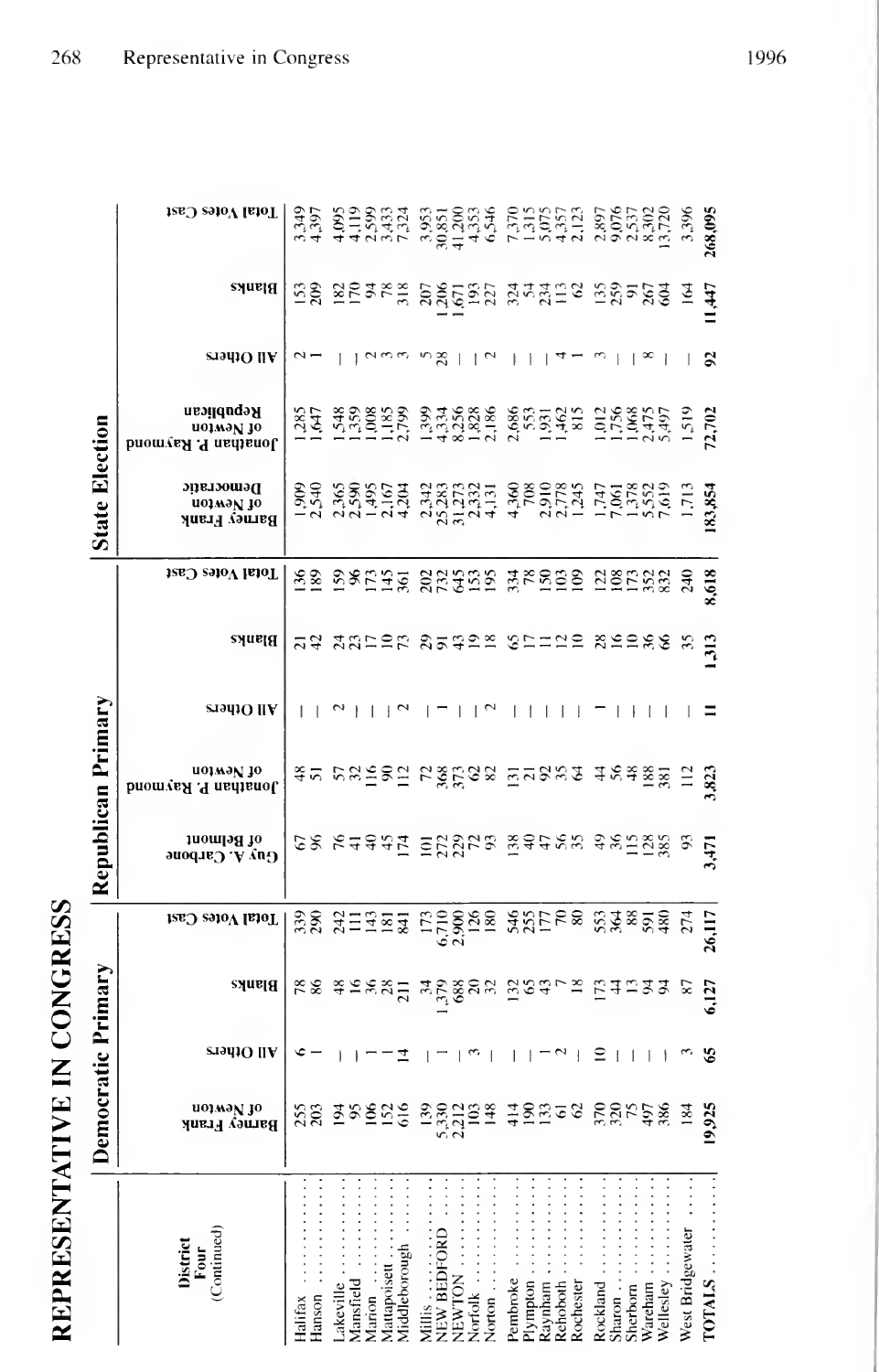|                                        | Democratic Primary           |              |                                                        |                                                                                                                                                                                                                                 | Republican Primary           |                                               |         |                    |                           | <b>State Election</b>                   |                                                  |                       |                                       |                                                                                 |
|----------------------------------------|------------------------------|--------------|--------------------------------------------------------|---------------------------------------------------------------------------------------------------------------------------------------------------------------------------------------------------------------------------------|------------------------------|-----------------------------------------------|---------|--------------------|---------------------------|-----------------------------------------|--------------------------------------------------|-----------------------|---------------------------------------|---------------------------------------------------------------------------------|
| <b>District</b><br>Four<br>(Continued) | u01.11.9N JO<br>Barney Frank | sлэц1O IIV   | syuerg                                                 | <b>Total Votes Cast</b>                                                                                                                                                                                                         | of Belmont<br>Guy A. Carbone | иојмәд јо<br>Jonathan P. Raymond              | гэчн ША | Blanks             | Total Votes Cast          | Democratic<br>иозмәр јо<br>Barney Frank | Republican<br>u01.143N JO<br>Jonathan P. Raymond | subOP                 | Blahks                                | Total Votes Cast                                                                |
| Hanson<br>Halifax                      | ងនី ទីនទីដូនី                |              | ន្ថែ ឧកមន្តដ រុម្ពន៍ខ្លួម ដូនង់ <sub>២</sub> ន ដឹងដូន។ | az de de la production de la production de la production de la production de la production de la production de<br>En 2015 de la production de la production de la production de la production de la production de la production |                              |                                               |         |                    | $\frac{36}{2}$            |                                         |                                                  |                       | នីង គីមុនដូង ខ្លួនមិន ដឹងមិត្ត គូមុនទ | 3,345<br>4,397                                                                  |
| akeville                               |                              |              |                                                        |                                                                                                                                                                                                                                 |                              |                                               |         |                    |                           |                                         |                                                  |                       |                                       |                                                                                 |
| Vlansfield                             |                              |              |                                                        |                                                                                                                                                                                                                                 |                              |                                               |         |                    |                           |                                         |                                                  |                       |                                       |                                                                                 |
| Marion                                 |                              |              |                                                        |                                                                                                                                                                                                                                 |                              |                                               |         |                    |                           |                                         |                                                  |                       |                                       |                                                                                 |
| Viiddleborough<br>dattapoisett         |                              |              |                                                        |                                                                                                                                                                                                                                 | 28 kaaau Ebyyna Earryn       | ង២ ៧មុនទីក្នុងនិដ្ឋិកម្ម ដែលស្រុក អ្នកមន្ទ្រី |         | ದಳ ಸದಿದ≘ಜ ನಿತರೆವಾದ | D&EBE SESDE ERBEE BEERE S |                                         |                                                  | 10000008110           |                                       | aduur ugdaa riimaa ubaati<br>Diinaa Saduu uubaal sonati<br>Diinaa Saduur Enking |
|                                        |                              |              |                                                        |                                                                                                                                                                                                                                 |                              |                                               |         |                    |                           |                                         |                                                  |                       |                                       |                                                                                 |
| <b>VEW BEDFORI</b>                     |                              |              |                                                        |                                                                                                                                                                                                                                 |                              |                                               |         |                    |                           |                                         |                                                  |                       |                                       |                                                                                 |
| VEWTON                                 |                              | $\mathbf{I}$ |                                                        |                                                                                                                                                                                                                                 |                              |                                               |         |                    |                           |                                         |                                                  |                       |                                       |                                                                                 |
| Vorfolk<br>Norton                      |                              | - 1          |                                                        |                                                                                                                                                                                                                                 |                              |                                               |         |                    |                           |                                         |                                                  |                       |                                       |                                                                                 |
| Pembroke                               |                              | $\mathbf{I}$ |                                                        |                                                                                                                                                                                                                                 |                              |                                               |         |                    |                           |                                         |                                                  |                       |                                       |                                                                                 |
| Plympton                               |                              | L            |                                                        |                                                                                                                                                                                                                                 |                              |                                               |         |                    |                           |                                         |                                                  |                       |                                       |                                                                                 |
| Raynham<br>Rehoboth                    |                              | $ \sim$ $+$  |                                                        |                                                                                                                                                                                                                                 |                              |                                               |         |                    |                           |                                         |                                                  |                       |                                       |                                                                                 |
| <b>Rochester</b>                       | dage gyntag                  |              |                                                        |                                                                                                                                                                                                                                 |                              |                                               |         | おけせはい ぬなけおぬ        |                           |                                         |                                                  |                       |                                       |                                                                                 |
| Rockland                               |                              | ≘            |                                                        |                                                                                                                                                                                                                                 |                              |                                               |         |                    |                           |                                         |                                                  |                       |                                       |                                                                                 |
| Sharon.                                |                              | $\perp$      |                                                        |                                                                                                                                                                                                                                 |                              |                                               |         |                    |                           |                                         |                                                  |                       |                                       |                                                                                 |
| Sherborn                               |                              | $\mathbf{I}$ |                                                        |                                                                                                                                                                                                                                 |                              |                                               |         |                    |                           |                                         |                                                  |                       |                                       |                                                                                 |
| <b>Nareham</b>                         |                              |              |                                                        |                                                                                                                                                                                                                                 | 2222                         |                                               |         |                    |                           |                                         | 191568<br>17568<br>17568                         | $\mathbb{R}^{\infty}$ |                                       |                                                                                 |
| <b>Nellesley</b>                       |                              |              |                                                        |                                                                                                                                                                                                                                 |                              |                                               |         |                    |                           |                                         |                                                  |                       |                                       |                                                                                 |
| West Bridgewater                       | 184                          |              | βŚ,                                                    |                                                                                                                                                                                                                                 | S,                           | $\frac{12}{1}$                                |         |                    |                           |                                         | $\frac{1.519}{72,702}$                           |                       | ₹                                     | 3,396                                                                           |
| <b>TOTALS</b>                          | 19,925                       | ౪            | 6,127                                                  | 26,117                                                                                                                                                                                                                          | 3,471                        | 3,823                                         |         | $\ddot{a}$         | 8,618                     | 183,854                                 |                                                  | S,                    | 11,447                                | 268,095                                                                         |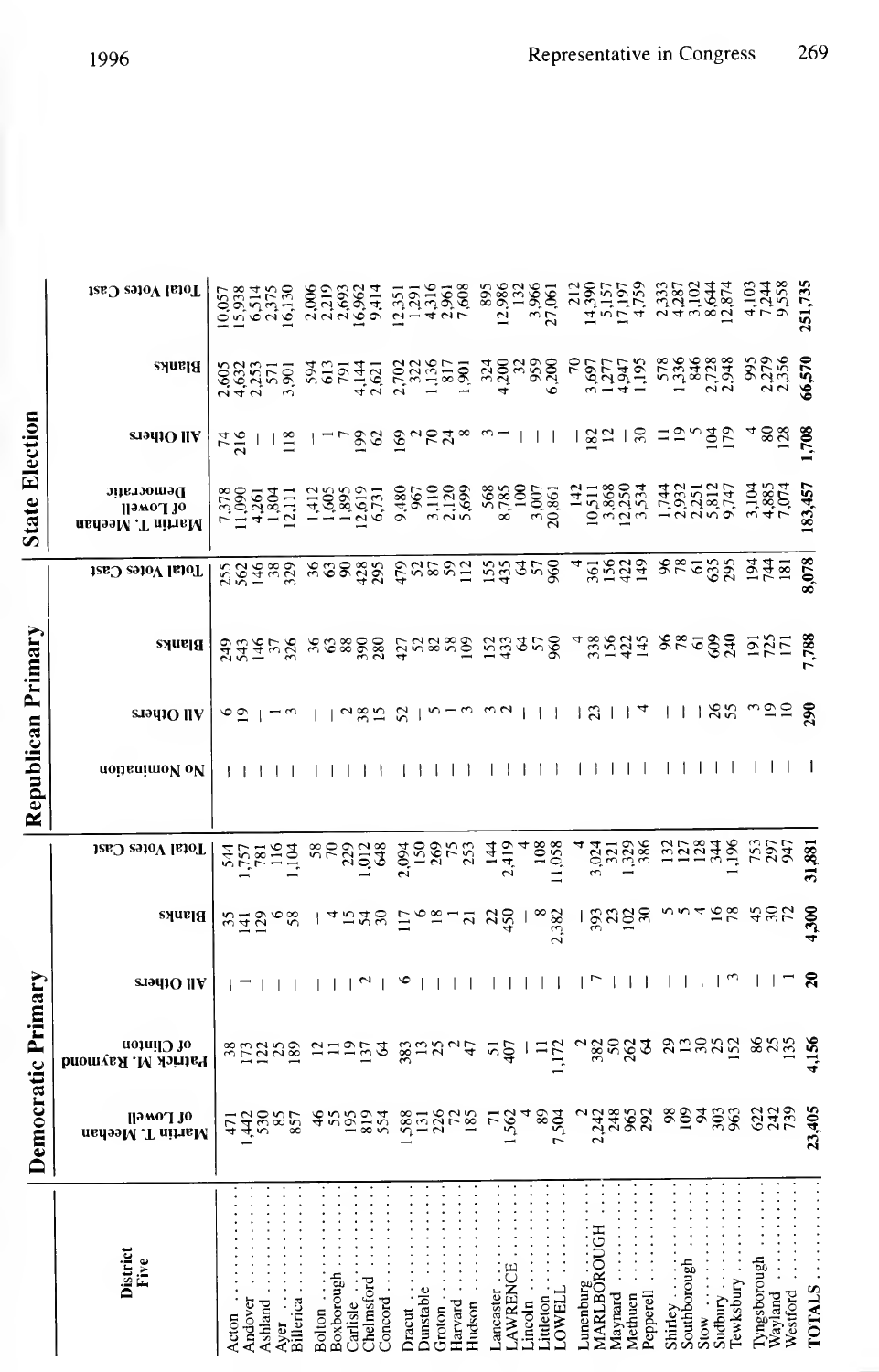|                      | Democratic Primary                                                                                                                                                                                                                                                                                                                                                   |                                                       |               |                                    |                                                                                                                                                                                                                                   | Republican Primary |                                       |                                                                   |                                                                                           | <b>State Election</b>                      |                          |                                                                                                      |                                                                                                                                                                                                                                  |
|----------------------|----------------------------------------------------------------------------------------------------------------------------------------------------------------------------------------------------------------------------------------------------------------------------------------------------------------------------------------------------------------------|-------------------------------------------------------|---------------|------------------------------------|-----------------------------------------------------------------------------------------------------------------------------------------------------------------------------------------------------------------------------------|--------------------|---------------------------------------|-------------------------------------------------------------------|-------------------------------------------------------------------------------------------|--------------------------------------------|--------------------------|------------------------------------------------------------------------------------------------------|----------------------------------------------------------------------------------------------------------------------------------------------------------------------------------------------------------------------------------|
| District<br>Five     | нэмод 10<br>nsdeely .T nimsM                                                                                                                                                                                                                                                                                                                                         | of Clinton<br>Patrick M. Raymond                      | $S1941O$ $HV$ | Blanks                             | Total Votes Cast                                                                                                                                                                                                                  | uoneuimoV oN       | sıəy10 llV                            | Blanks                                                            | Total Votes Cast                                                                          | Democratic<br>нэмод до<br>nsd99M .T nir1sM | sjəyiQ HV                | Blanks                                                                                               | Total Votes Cast                                                                                                                                                                                                                 |
|                      |                                                                                                                                                                                                                                                                                                                                                                      |                                                       |               |                                    |                                                                                                                                                                                                                                   |                    |                                       |                                                                   |                                                                                           |                                            |                          |                                                                                                      |                                                                                                                                                                                                                                  |
| Andover<br>Acton     |                                                                                                                                                                                                                                                                                                                                                                      |                                                       |               |                                    |                                                                                                                                                                                                                                   |                    |                                       |                                                                   |                                                                                           |                                            |                          |                                                                                                      |                                                                                                                                                                                                                                  |
| Ashland              |                                                                                                                                                                                                                                                                                                                                                                      |                                                       |               |                                    |                                                                                                                                                                                                                                   |                    |                                       |                                                                   |                                                                                           |                                            |                          |                                                                                                      |                                                                                                                                                                                                                                  |
|                      | <b>442822</b>                                                                                                                                                                                                                                                                                                                                                        | 82222                                                 |               | <u> ಇತ್ತಾ<sub>ಂ</sub>ಜ</u>         | $\frac{755}{352}$ $\frac{119}{35}$                                                                                                                                                                                                |                    |                                       | සියිසිපති සලඝමිෂි ඒහසිකම් බිසිලෙම් යුකිබුහියි සිකුලුම්සි මිහිට හි | <u>ដូវីមិនមន្ទី ខេទដូន្មី ដំបូងថា ដូចិន្ទ្រី រដ្ឋដូច្នី និង ក្នុងប្រ</u><br>និង ក្នុង ដូច |                                            | 72118                    | 253558                                                                                               | enauris Salassi i Educação estados de la construção de la construção de la construção de la construção de la c<br>Salassia de la construção de la construção de la construção de la construção de la construção de la construção |
| iillerica            |                                                                                                                                                                                                                                                                                                                                                                      |                                                       |               |                                    |                                                                                                                                                                                                                                   |                    |                                       |                                                                   |                                                                                           |                                            |                          |                                                                                                      |                                                                                                                                                                                                                                  |
| <b>Bolton</b>        |                                                                                                                                                                                                                                                                                                                                                                      |                                                       |               |                                    |                                                                                                                                                                                                                                   |                    |                                       |                                                                   |                                                                                           |                                            |                          |                                                                                                      |                                                                                                                                                                                                                                  |
| loxborough           |                                                                                                                                                                                                                                                                                                                                                                      |                                                       |               |                                    |                                                                                                                                                                                                                                   |                    |                                       |                                                                   |                                                                                           |                                            |                          |                                                                                                      |                                                                                                                                                                                                                                  |
| helmsford<br>arlisle |                                                                                                                                                                                                                                                                                                                                                                      |                                                       | 112           |                                    |                                                                                                                                                                                                                                   |                    |                                       |                                                                   |                                                                                           |                                            |                          |                                                                                                      |                                                                                                                                                                                                                                  |
| oncord               |                                                                                                                                                                                                                                                                                                                                                                      |                                                       |               |                                    |                                                                                                                                                                                                                                   |                    | $\sim$ $\approx$ $\sim$ $\sim$ $\sim$ |                                                                   |                                                                                           |                                            |                          |                                                                                                      |                                                                                                                                                                                                                                  |
| <b>Insert</b>        |                                                                                                                                                                                                                                                                                                                                                                      |                                                       |               |                                    |                                                                                                                                                                                                                                   |                    |                                       |                                                                   |                                                                                           |                                            |                          |                                                                                                      |                                                                                                                                                                                                                                  |
| <b>Junstable</b>     |                                                                                                                                                                                                                                                                                                                                                                      |                                                       |               |                                    |                                                                                                                                                                                                                                   |                    |                                       |                                                                   |                                                                                           |                                            |                          |                                                                                                      |                                                                                                                                                                                                                                  |
| roton                |                                                                                                                                                                                                                                                                                                                                                                      |                                                       |               |                                    |                                                                                                                                                                                                                                   |                    |                                       |                                                                   |                                                                                           |                                            |                          |                                                                                                      |                                                                                                                                                                                                                                  |
| larvard              | $3.85\frac{23}{23}\frac{23}{23}\frac{23}{23}\frac{23}{23}\frac{23}{23}\frac{23}{23}\frac{23}{23}\frac{23}{23}\frac{23}{23}\frac{23}{23}\frac{23}{23}\frac{23}{23}\frac{23}{23}\frac{23}{23}\frac{23}{23}\frac{23}{23}\frac{23}{23}\frac{23}{23}\frac{23}{23}\frac{23}{23}\frac{23}{23}\frac{23}{23}\frac{23}{23}\frac{23}{23}\frac{23}{23}\frac{23}{23}\frac{23}{23$ | ਰਜਤਸ਼ੁਣ ਲੋਜ਼ਲਾਰ ਵਿੱਤੇ । ਜਦੋਂ ਕਲੋਬਲੋਣ ਡਜ਼ਬਲਾਕ ਲਖ਼ਸ਼ ਦੇ |               | $14.738$ $-68.79$ $-19.80$ $-18.8$ | segment segment of the segment of the segment of the segment of the segment of the segment of the segment of t<br>segment of the segment of the segment of the segment of the segment of the segment of the segment of the segmen |                    |                                       |                                                                   |                                                                                           |                                            | $-89.85$ $-6.84$         | a de 110 ciado de 110 como 110 como 110 como 110 como 110 como 110 como 110 como 110 como 110 como 1 |                                                                                                                                                                                                                                  |
| udson                |                                                                                                                                                                                                                                                                                                                                                                      |                                                       |               |                                    |                                                                                                                                                                                                                                   |                    |                                       |                                                                   |                                                                                           |                                            |                          |                                                                                                      |                                                                                                                                                                                                                                  |
| AWREN<br>ancaster    |                                                                                                                                                                                                                                                                                                                                                                      |                                                       |               |                                    |                                                                                                                                                                                                                                   |                    |                                       |                                                                   |                                                                                           |                                            | $\omega$ - $\frac{1}{1}$ |                                                                                                      |                                                                                                                                                                                                                                  |
| incoln               |                                                                                                                                                                                                                                                                                                                                                                      |                                                       |               |                                    |                                                                                                                                                                                                                                   |                    |                                       |                                                                   |                                                                                           |                                            |                          |                                                                                                      |                                                                                                                                                                                                                                  |
| ittleton             |                                                                                                                                                                                                                                                                                                                                                                      |                                                       |               |                                    |                                                                                                                                                                                                                                   |                    | $\vert \vert$                         |                                                                   |                                                                                           |                                            |                          |                                                                                                      |                                                                                                                                                                                                                                  |
| <b>OWEL</b>          |                                                                                                                                                                                                                                                                                                                                                                      |                                                       |               |                                    |                                                                                                                                                                                                                                   |                    |                                       |                                                                   |                                                                                           |                                            |                          |                                                                                                      |                                                                                                                                                                                                                                  |
| unenbur              |                                                                                                                                                                                                                                                                                                                                                                      |                                                       |               |                                    |                                                                                                                                                                                                                                   |                    |                                       |                                                                   |                                                                                           |                                            |                          |                                                                                                      |                                                                                                                                                                                                                                  |
| <b>IARLBOROUG</b>    |                                                                                                                                                                                                                                                                                                                                                                      |                                                       |               |                                    |                                                                                                                                                                                                                                   |                    |                                       |                                                                   |                                                                                           |                                            |                          |                                                                                                      |                                                                                                                                                                                                                                  |
| <b>faynard</b>       |                                                                                                                                                                                                                                                                                                                                                                      |                                                       |               |                                    |                                                                                                                                                                                                                                   |                    |                                       |                                                                   |                                                                                           |                                            |                          |                                                                                                      |                                                                                                                                                                                                                                  |
| <b>lethuen</b>       |                                                                                                                                                                                                                                                                                                                                                                      |                                                       | $\Box$        | ାଛୁଅଟ୍ରକ                           |                                                                                                                                                                                                                                   |                    |                                       |                                                                   |                                                                                           |                                            |                          |                                                                                                      |                                                                                                                                                                                                                                  |
| epperell             |                                                                                                                                                                                                                                                                                                                                                                      |                                                       |               |                                    |                                                                                                                                                                                                                                   |                    |                                       |                                                                   |                                                                                           |                                            | <u>  엂음   응 그의까결임</u>    |                                                                                                      |                                                                                                                                                                                                                                  |
| ihirley              |                                                                                                                                                                                                                                                                                                                                                                      |                                                       |               |                                    |                                                                                                                                                                                                                                   |                    |                                       |                                                                   |                                                                                           |                                            |                          |                                                                                                      |                                                                                                                                                                                                                                  |
| outhborough<br>vov   |                                                                                                                                                                                                                                                                                                                                                                      |                                                       |               |                                    |                                                                                                                                                                                                                                   |                    |                                       |                                                                   |                                                                                           |                                            |                          |                                                                                                      |                                                                                                                                                                                                                                  |
| udbury               |                                                                                                                                                                                                                                                                                                                                                                      |                                                       |               |                                    |                                                                                                                                                                                                                                   |                    |                                       |                                                                   |                                                                                           |                                            |                          |                                                                                                      |                                                                                                                                                                                                                                  |
| ewksbury             |                                                                                                                                                                                                                                                                                                                                                                      |                                                       | $1111\omega$  | nna <del>d</del> k                 |                                                                                                                                                                                                                                   |                    |                                       |                                                                   |                                                                                           |                                            |                          |                                                                                                      |                                                                                                                                                                                                                                  |
| yngsborough          |                                                                                                                                                                                                                                                                                                                                                                      |                                                       |               |                                    |                                                                                                                                                                                                                                   |                    |                                       |                                                                   |                                                                                           |                                            |                          |                                                                                                      |                                                                                                                                                                                                                                  |
| Vayland              |                                                                                                                                                                                                                                                                                                                                                                      |                                                       | $\perp$       | 382                                |                                                                                                                                                                                                                                   |                    | $13114 + 1188$ $-228$                 |                                                                   |                                                                                           |                                            | $48\frac{1}{2}$          |                                                                                                      |                                                                                                                                                                                                                                  |
| <b>lestford</b>      |                                                                                                                                                                                                                                                                                                                                                                      |                                                       |               |                                    |                                                                                                                                                                                                                                   |                    |                                       |                                                                   |                                                                                           |                                            |                          |                                                                                                      |                                                                                                                                                                                                                                  |
| <b>OTALS</b>         |                                                                                                                                                                                                                                                                                                                                                                      |                                                       | ຸສ            | 4.300                              | 31,881                                                                                                                                                                                                                            |                    |                                       |                                                                   |                                                                                           | 183,457                                    | 1,708                    |                                                                                                      |                                                                                                                                                                                                                                  |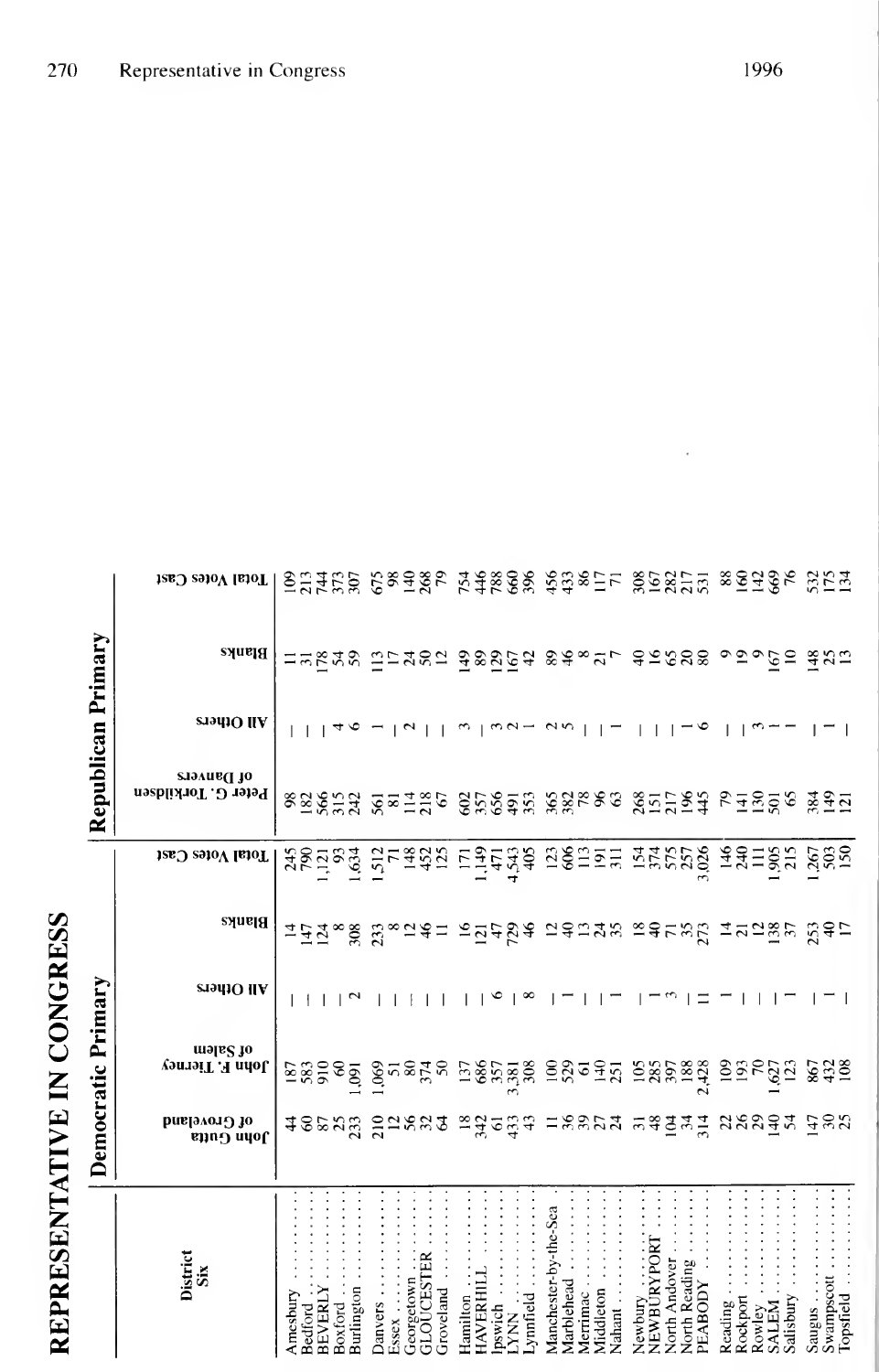|                                                                                         | Democratic Primary                                         |                             |                  |               |                                         | Republican Primary                |                                    |                                                                  |                                          |
|-----------------------------------------------------------------------------------------|------------------------------------------------------------|-----------------------------|------------------|---------------|-----------------------------------------|-----------------------------------|------------------------------------|------------------------------------------------------------------|------------------------------------------|
| District<br>Six                                                                         | of Groveland<br>John Gutta                                 | mala2 10<br>John F. Tierney | <b>SJ941O HV</b> | Blanks        | Total Votes Cast                        | ец рэплесь<br>Peter G. Torkildsen | siamo IIV                          | Blahks                                                           | <b>Total Votes Cast</b>                  |
| Burlington<br><b>BEVERL)</b><br>Amesbury<br>Boxford<br>Bedford                          |                                                            |                             | $ $ $ $ $\sim$   |               | 245                                     | 882877                            |                                    |                                                                  |                                          |
| GLOUCESTER<br>Georgetown<br>Groveland<br>Danvers<br>Essex                               |                                                            | គនីខ្លួន ខ្លឹមខ្លួន         | $1 + 1 + 1$      |               |                                         | $8a + 8c$                         |                                    |                                                                  |                                          |
| <b>IAVERHII</b><br>ynnfield<br>Hamilton<br>pswich<br>XNX                                | ਥਣਣਖ਼ਾਲੀ ਤੋਂਹਫ਼ਲਕ ਛਸੈਣਲੈਂਡ =ਲੁਝਾਖ਼ਕ ਦੁਛਕੁੰਬ ਖ਼ੁਲਰਭੁਕ ਦੇਖੁਲ |                             | $\mathbf{I}$     |               | ling in Lands Linda agus a ghair aghaid |                                   | $\sim$ 1<br>$mN -$                 | $\pm$ កន្ទ្រីជន ក្នុងមួយ ទីនទ្វាចិង និង«ដ $\sim$ ៩៩និងខ្លួ ១៩១២៩ | SHIPS Saaks hakee aas Er gokhu saaae shu |
| Manchester-by-the-Sea<br>Marblehead<br>Viddleton<br>Merrimac<br>Vahant                  |                                                            | E Sangs Sanga Sangang Sanga |                  |               |                                         | ទីដូនទីដូ និង៤៖ ន                 | $\sim$<br>$\overline{\phantom{0}}$ |                                                                  |                                          |
| <b>NEWBURYPOR</b><br><b>North Andover</b><br><b>Vorth Reading</b><br>PEABODY<br>Newbury |                                                            |                             | Ξ                |               |                                         |                                   | $\Box$                             |                                                                  |                                          |
| Rockport<br>Salisbury<br>Reading<br><b>NETR'S</b><br>Rowley                             |                                                            |                             |                  |               | $\overline{z}$ gggggggg                 | grungt base waar                  |                                    |                                                                  |                                          |
| Swampscott<br>Topsfield<br>Saugus                                                       |                                                            | $$^{42}_{83}_{8}$           |                  | $\frac{1}{2}$ |                                         |                                   |                                    | ≆ຕ⊡                                                              |                                          |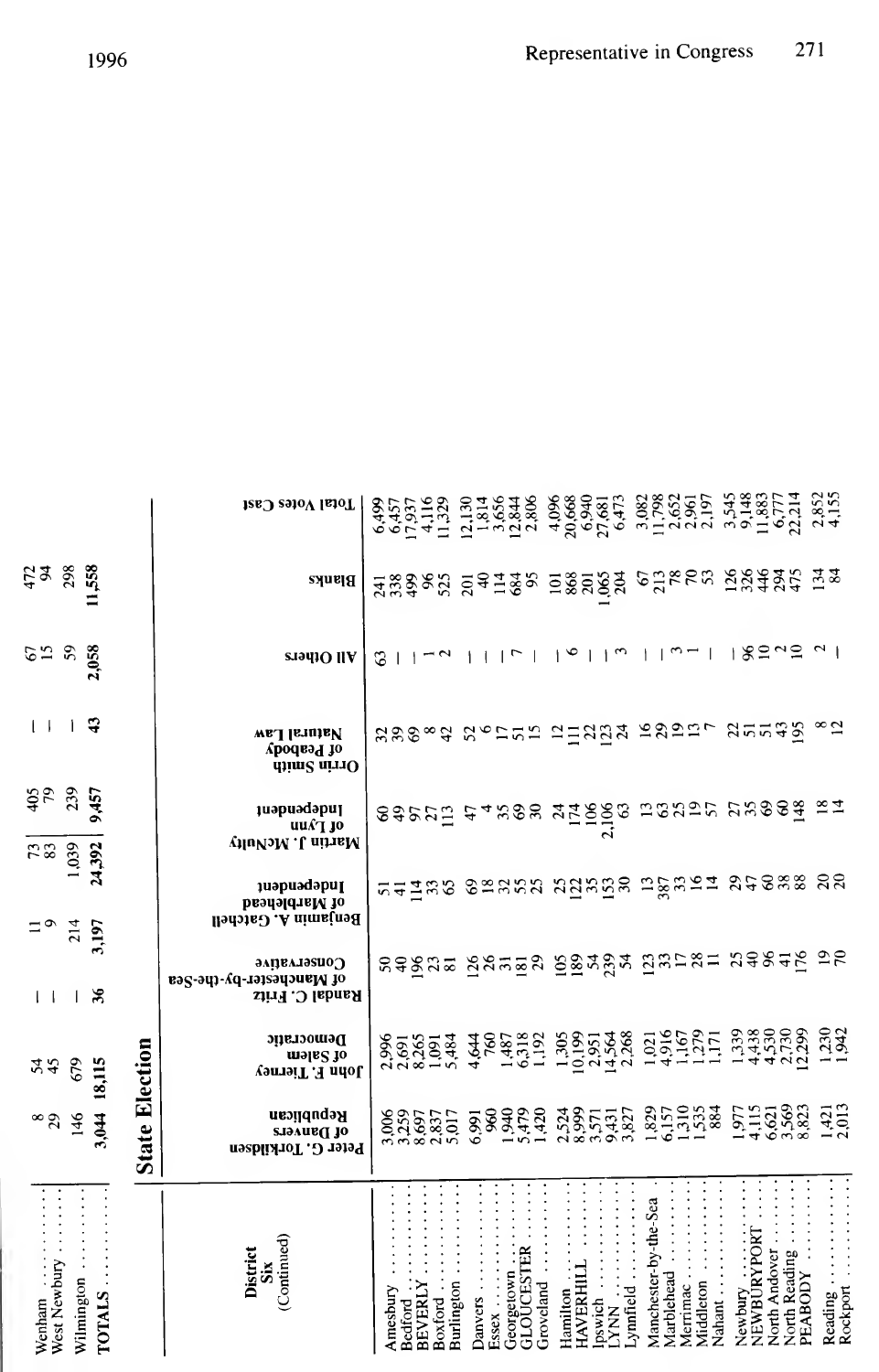| West Newbury<br>Wenham                       | ∞ຊ<br>≊                                         | 24                                        |                                                            |                                                       | $rac{62}{50}$<br>$\begin{array}{c}\n 73 \\  23 \\  \hline\n 039\n \end{array}$ | $\Box$                                   | 62               | 472                                     |                                                |
|----------------------------------------------|-------------------------------------------------|-------------------------------------------|------------------------------------------------------------|-------------------------------------------------------|--------------------------------------------------------------------------------|------------------------------------------|------------------|-----------------------------------------|------------------------------------------------|
| Wilmington                                   |                                                 | 679                                       |                                                            | 214                                                   | 239                                                                            |                                          | 59               | 298                                     |                                                |
| <b>TOTALS</b>                                | 3,044                                           | 18,115                                    | ×                                                          | 3,197                                                 | 9,457<br>24,392                                                                | ₽                                        | 2,058            | 11,558                                  |                                                |
|                                              | <b>State Election</b>                           |                                           |                                                            |                                                       |                                                                                |                                          |                  |                                         |                                                |
| District<br>Six<br>(Continued)               | Republican<br>of Danvers<br>Peter G. Torkildsen | Democratic<br>mala2 10<br>John F. Tierney | Соцзелласно<br>of Manchester-by-the-Sea<br>Randal C. Fritz | 1 ndependent<br>of Marblehead<br>Benjamin A. Gatchell | 1uapuadapu <sub>l</sub><br>uusq jo<br>Martin J. McNulty                        | Watural Law<br>of Peabody<br>diime niriO | saaqiO IIV       | Blanks                                  | Total Votes Cast                               |
|                                              |                                                 |                                           |                                                            |                                                       |                                                                                |                                          | အ ၊              |                                         |                                                |
| Amesbury<br>Bedford                          |                                                 |                                           |                                                            |                                                       |                                                                                |                                          |                  |                                         |                                                |
| <b>BEVERLY</b>                               |                                                 |                                           |                                                            |                                                       |                                                                                |                                          |                  |                                         |                                                |
| Boxford                                      |                                                 | 232333                                    |                                                            |                                                       | atrusa                                                                         | $888$ $848$ $5957$                       |                  |                                         | 6457<br>1957<br>6457<br>6457<br>6499           |
| Burlington                                   | 6.991                                           |                                           |                                                            |                                                       |                                                                                |                                          |                  |                                         |                                                |
| Essex<br>Danvers                             | 960                                             |                                           |                                                            |                                                       |                                                                                |                                          |                  |                                         |                                                |
| Georgetown                                   |                                                 |                                           |                                                            |                                                       |                                                                                |                                          | 111 <sup>5</sup> |                                         | 12,130<br>1,814<br>1,854<br>1,806<br>2,806     |
| GLOUCESTER<br>Groveland                      | $3,420$<br>$-1,420$                             | $45872$<br>$4873$<br>$4873$               |                                                            |                                                       |                                                                                |                                          |                  |                                         |                                                |
| Hamilton                                     |                                                 |                                           |                                                            |                                                       |                                                                                |                                          |                  |                                         |                                                |
| HAVERHILI                                    |                                                 |                                           |                                                            |                                                       |                                                                                |                                          |                  |                                         |                                                |
| pswich<br><b>CYNN</b>                        | 252357132525384                                 | 1995388                                   |                                                            | ra Euse Suunu udungu udungu                           | នទុន ដក្ខខ្នុង<br>អនុង                                                         |                                          | $10110110 - 1$   | ងដូងទីខ្លួង មន្ត្រីកូន ក្នុងនិង មន្ត្រី | $4,096$<br>20,668<br>20,940<br>27,681<br>6,473 |
| Lynnfield                                    |                                                 |                                           |                                                            |                                                       |                                                                                |                                          |                  |                                         |                                                |
| Manchester-by-the-Sea                        |                                                 |                                           |                                                            |                                                       |                                                                                |                                          |                  |                                         |                                                |
| Marblehead<br>Merrimac                       |                                                 |                                           |                                                            |                                                       |                                                                                |                                          |                  |                                         |                                                |
| Middleton                                    |                                                 |                                           |                                                            |                                                       |                                                                                |                                          |                  |                                         | 3,082<br>11,798<br>11,795<br>2,197             |
| Vahant.                                      |                                                 |                                           |                                                            |                                                       |                                                                                |                                          |                  |                                         |                                                |
| <b>VEWBURYPOR</b><br>Newbury                 |                                                 |                                           |                                                            |                                                       |                                                                                |                                          |                  |                                         |                                                |
| <b>North Andover</b><br><b>North Reading</b> | 1973882                                         | 1916<br>4916711 3388088<br>49111 1388088  | ຮອຮັຜສ ສັສພະສັຍ ລີຮັນຢືນ Gພວກສ⊐ ສອຂ±ຊີ                     | ଅ୫୫୫୫ ଅଅ                                              | $13325$ הוא המשפ                                                               | allaga sasan annag                       | $18222$ $1$      | edses ää <del>äää ua</del>              | 3,545<br>0,148<br>0,777<br>0,7714<br>22,214    |
| PEABODY                                      |                                                 |                                           |                                                            |                                                       |                                                                                |                                          |                  |                                         |                                                |
| Reading.<br>Rockport                         | 1,42                                            | 1,230                                     | ತಿರ                                                        |                                                       |                                                                                |                                          |                  |                                         | 2,852<br>4,155                                 |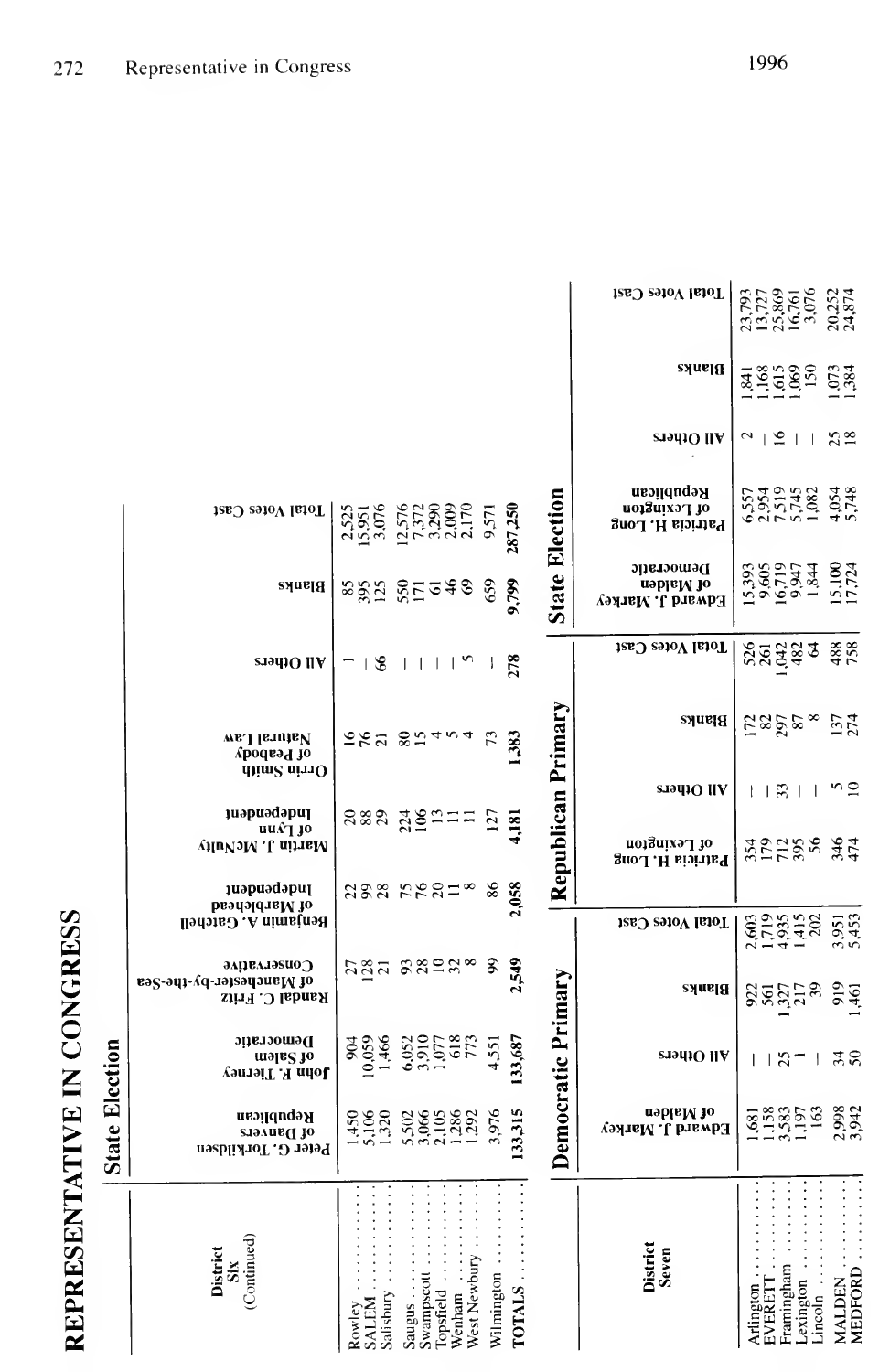| REPRESENTATIVE IN CONGRESS     | <b>State Election</b>                           |                                                  |                                                            |                                                      |                                  |                           |                           |                   |                                             |                                               |                  |
|--------------------------------|-------------------------------------------------|--------------------------------------------------|------------------------------------------------------------|------------------------------------------------------|----------------------------------|---------------------------|---------------------------|-------------------|---------------------------------------------|-----------------------------------------------|------------------|
| District<br>Six<br>(Continued) | Republican<br>от Рапуетs<br>Peter G. Torkildsen | Democratic<br>wəjeg jo<br><b>John F. Tierney</b> | Сопзетлацие<br>of Manchester-by-the-Sea<br>Randal C. Fritz | Juapuadaput<br>of Marblehead<br>Benjamin A. Gatchell | uu.i Jo<br>Martin J. McMulty     | diime ninO<br>1uəpuədəpu1 | Matural Law<br>vf Peabody | <b>saaqiO IIV</b> | Blanks                                      | <b>Total Votes Cast</b>                       |                  |
| Rowley                         | 1,450                                           |                                                  |                                                            |                                                      |                                  |                           |                           |                   |                                             | 2,525<br>15,951<br>3,076                      |                  |
| <b>MALEM</b>                   |                                                 |                                                  |                                                            |                                                      | ನಜನ                              |                           |                           | 18                |                                             |                                               |                  |
| Salisbury                      | 5,106                                           | 904<br>0.059<br>1.466                            |                                                            |                                                      |                                  |                           |                           |                   |                                             |                                               |                  |
| Saugus.                        |                                                 |                                                  | ດິສັນ ຂຶ້ນສັນ                                              | $2388$ $R83 = 8$                                     | ละ≌ุธะ                           |                           | $552.874$ nd              |                   | 882 85648                                   | 125788817                                     |                  |
| Swampscott                     |                                                 |                                                  |                                                            |                                                      |                                  |                           |                           |                   |                                             |                                               |                  |
| <b>Topsfield</b>               |                                                 |                                                  |                                                            |                                                      |                                  |                           |                           |                   |                                             |                                               |                  |
| Wenham                         |                                                 |                                                  |                                                            |                                                      |                                  |                           |                           |                   |                                             |                                               |                  |
| West Newbury                   | 588882                                          | $6300707$<br>$-0.073$<br>$-0.073$                |                                                            |                                                      |                                  |                           |                           | 1111 <sup>m</sup> |                                             |                                               |                  |
| Wilmington                     | 3,976                                           | 4,551                                            | $\boldsymbol{\mathcal{S}}$                                 | $\frac{8}{6}$                                        | 127                              |                           |                           |                   | 659                                         | 9,571                                         |                  |
|                                |                                                 |                                                  |                                                            |                                                      | 4,181                            |                           | 383                       | 278               | 9,799                                       | 287,250                                       |                  |
| <b>TOTALS</b>                  | 33,315                                          | 133,687                                          | 2,549                                                      | 2,058                                                |                                  |                           |                           |                   |                                             |                                               |                  |
|                                |                                                 | Democratic Primary                               |                                                            |                                                      | Republican Primary               |                           |                           |                   |                                             | <b>State Election</b>                         |                  |
| District<br>Seven              | asblaM 10<br><b>Edward J. Markey</b>            | siəyiQ HV                                        | Blanks                                                     | Total Votes Cast                                     | of Lexington<br>Patricia H. Long | <b>SIMIO IIV</b>          | Blanks                    | Total Votes Cast  | Democratic<br>asblaM 10<br>Камага Ј. Магкеу | Republican<br>от Гехивтоп<br>Patricia H. Long | <b>siamO IIA</b> |
| Arlington                      |                                                 |                                                  |                                                            |                                                      |                                  |                           |                           | 2233              | 15,393                                      | 655                                           |                  |
| EVERETT                        |                                                 |                                                  |                                                            |                                                      |                                  |                           |                           |                   |                                             |                                               |                  |
| Framingham                     | 3335                                            | $18-$                                            |                                                            |                                                      |                                  |                           |                           |                   |                                             |                                               |                  |
| Lexington<br>dncoln            | $\frac{163}{2}$                                 | $\overline{1}$                                   | ន្តន្តក្នុង                                                | 25251528                                             | ដូត្តដង្កូន ទី៨                  | 11311                     | $\vec{5}$ ಜಶಿಜ $_\infty$  | $\mathcal{R}$     | 9.941<br>9.947<br>9.944<br>9.941            | 251532                                        | 191182           |
|                                |                                                 |                                                  |                                                            |                                                      |                                  |                           |                           |                   |                                             |                                               |                  |
| MALDEN.                        | 2,998<br>3,942                                  | 34                                               | 616                                                        | 3,951                                                |                                  | $\frac{5}{10}$            | $\frac{137}{274}$         | 488               | 15,100                                      | 4,054<br>5,748                                |                  |

23,793<br>11,727<br>116,761<br>20,252<br>20,874<br>20,874

1,973<br>1,384

135585138

**Total Votes Cast** 

**Squejg**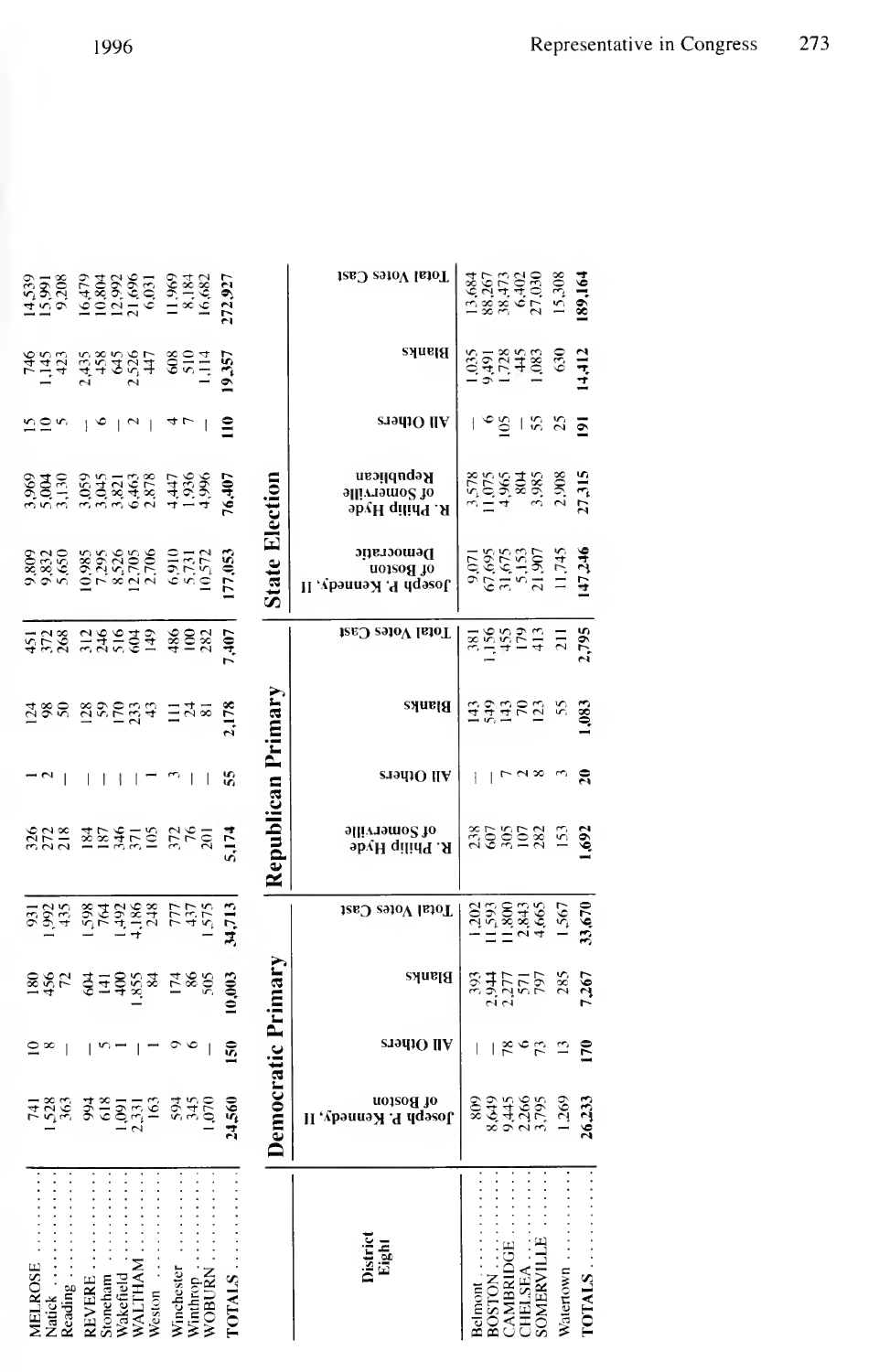| Total Votes Cast                                | 43,684<br>38,473,6402<br>58,870,6402<br>15,308<br>15,89,164                                                     |
|-------------------------------------------------|-----------------------------------------------------------------------------------------------------------------|
| Blanks                                          | $\frac{358438}{35148}$<br>$\frac{11}{11}$                                                                       |
| яэфО ПА                                         | $^{\circ}$ ଓ । ୪ ୪<br>چ                                                                                         |
| Republican<br>of Somerville<br>9byH qilid¶ .A   | $\frac{3,578}{1,075}$<br>$\frac{3,965}{0,3965}$<br>$\frac{3,965}{0,3965}$<br>$\frac{2,965}{0,3965}$             |
| Democratic<br>of Boston<br>Лоѕерћ Р. Кеппеdу, П | 9,071<br>67,695<br>67,533<br>51,5967<br>47,246<br>47,246                                                        |
| Total Votes Cast                                | $\frac{15527}{115777}$ $\frac{1}{27}$ $\frac{1}{27}$ $\frac{1}{27}$                                             |
| Blanks                                          | agaea s<br>$\ddot{\phantom{0}}$                                                                                 |
| яно прес                                        | ន                                                                                                               |
| əlivaəmoz to<br>R. Philip Hyde                  | ដូទ្ធដូខីឌី ឆ្ន<br>1,692                                                                                        |
| Total Votes Cast                                | $\begin{array}{r} 1.202 \\ 1.593 \\ 1.380 \\ 1.465 \\ 1.567 \\ 1.567 \\ 1.567 \\ 1.567 \\ 1.567 \\ \end{array}$ |
| Blanks                                          | santin<br>Santin<br>Santin<br>7.267                                                                             |
| гаано на                                        | 18972<br>$\overline{170}$                                                                                       |
| of Boston<br>Joseph P. Kennedy, II              | 809<br>844466<br>8444668<br>8623<br>14623                                                                       |
| District<br>Eight<br>Belmont.<br>BOSTON         | CAMBRIDG<br>SOMERVIL<br>Watertown<br><b>CHELSEA</b><br>FOTALS                                                   |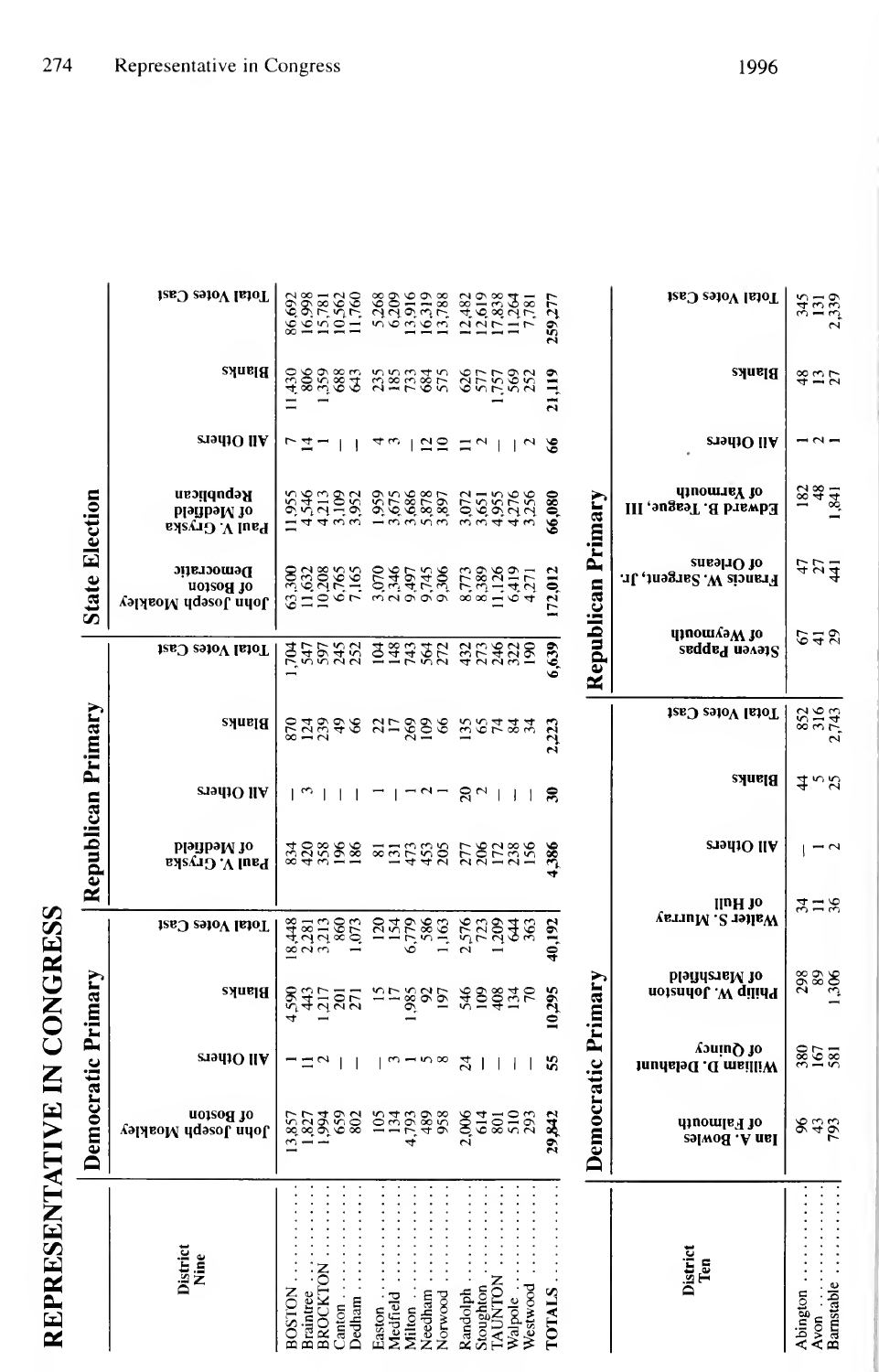|                       | Total Votes Cast                               | 86,692<br>16,988<br>10,562<br>11,760                                  |                                                     | 1208<br>0209188823830<br>0209183834<br>0209283834        | .59277                          | Total Votes Cast                         | 3339                                    |
|-----------------------|------------------------------------------------|-----------------------------------------------------------------------|-----------------------------------------------------|----------------------------------------------------------|---------------------------------|------------------------------------------|-----------------------------------------|
|                       | Blanks                                         |                                                                       | E Sanga Kanang Kalingan<br>Hanga Kanang Kalingan    |                                                          | 21,119                          | Blanks                                   | ឌុក្គ                                   |
|                       | <b>SIMIO IIV</b>                               | $\mathbf{I}$                                                          |                                                     | 4 ∽ │ 12 12 12 1 │ 1 2 8                                 |                                 | гээніО ПА                                |                                         |
|                       | Republican<br>ріэйьэМ 10<br>Paul V. Gryska     | $4,213$<br>$3,109$<br>3,952<br>11,955                                 |                                                     |                                                          | 66,080                          | чиошлед јо<br>HI , sugger . A brawb. III | $^{48}_{84}$<br>182                     |
| <b>State Election</b> | Democratic<br>uo1sog Jo<br>Jopn Joseby Moakley | 63,300<br>11,632<br>10,208<br>6,765<br>7,165                          |                                                     |                                                          | Republican Primary<br>(72, 012) | of Orleans<br>Francis W. Sargent, Jr.    | さどき                                     |
|                       | <b>Total Votes Cast</b>                        |                                                                       | <b>SAYY ZARYY HUAYA</b>                             |                                                          | 6,639                           | ц1пошлэм 10<br>S <b>t</b> even Pappas    | 248                                     |
|                       | Blahks                                         |                                                                       | ខ្លីដ្ឋីដូង៩ ដុក្ខន្តិឱ្យ ដឹងដូនដូ                  |                                                          | 223                             | Total Votes Cast                         | 852<br>316<br>2,743                     |
|                       | siəqiO HA                                      | $\lfloor m + 1 \rfloor$<br>$\mathbf{I}$                               |                                                     | $-1 - 9 - 80 + 11$                                       | ౾                               | Blanks                                   | はいぬ                                     |
| Republican Primary    | ріэйрэМ 10<br>Paul V. Gryska                   | 33352                                                                 |                                                     | <b>ERGE REESS</b>                                        | 386                             | <b>Printing</b>                          |                                         |
|                       | <b>Total Votes Cast</b>                        | $\frac{443}{223}$<br>$\frac{373}{23}$<br>$\frac{36}{25}$              |                                                     | $\frac{137880}{57200}$                                   | 40,192                          | IluH 10<br>YarınM .2 1911aV              | $z = z$                                 |
|                       | Blanks                                         | $\frac{3}{2}$ $\frac{4}{2}$ $\frac{3}{2}$ $\frac{6}{2}$ $\frac{1}{2}$ | 고급ਲੈਂਕ 로                                            | <b>ASSAL</b>                                             | 10,295                          | blaitdensly to<br>rhilip W. Johnston     | ಕ್ಷಿ ಇತ್ತು<br>ವಿ                        |
|                       | глэціО ПА                                      | $\blacksquare$                                                        | $\sqrt{6} - \sqrt{6}$                               | $\mathfrak{p}$<br>1113<br>$\mathbf{I}$                   |                                 | 0t Quinty<br>William D. Delahunt         | $\frac{85}{281}$                        |
| Democratic Primary    | uo1sog jo<br>John Joseph Moakley               | 1357888                                                               | $\frac{275888}{175480}$                             | 232523                                                   | Democratic Primary<br>29,842    | of Falmouth<br>Ian A. Bowles             | ४ <del>२</del> व्ह                      |
|                       | District<br>Nine                               | BROCKTON<br><b>BOSTON</b><br><b>Braintree</b><br>Canton.<br>Dedham    | Norwood<br>Needham<br>Milton.<br>Medfield<br>Easton | Randolph.<br>Stoughton<br>TAUNTON<br>Westwood<br>Walpole | <b>POTALS</b>                   | District<br>Ten                          | Barnstable<br>Abington<br>Avon $\ldots$ |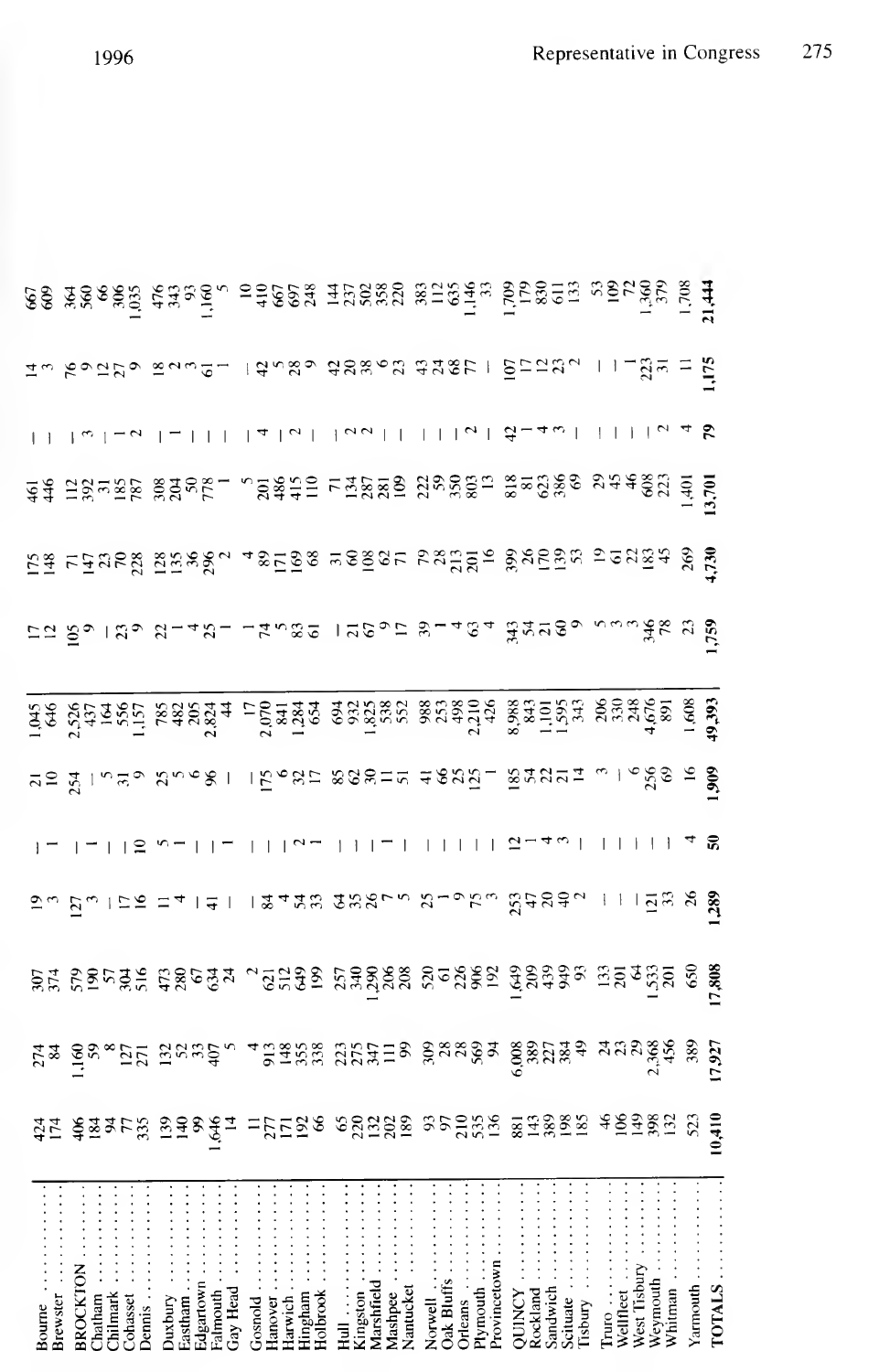| Duxbury<br>Eastham<br>Edgartown                        |                                                                                                                                    |                                                                                                                                                                                                                                 |                                                                                                     |                                                                       |                                                                        |                                                                            |                                                                                                                                 |                                                                    |                                                                                                                 |
|--------------------------------------------------------|------------------------------------------------------------------------------------------------------------------------------------|---------------------------------------------------------------------------------------------------------------------------------------------------------------------------------------------------------------------------------|-----------------------------------------------------------------------------------------------------|-----------------------------------------------------------------------|------------------------------------------------------------------------|----------------------------------------------------------------------------|---------------------------------------------------------------------------------------------------------------------------------|--------------------------------------------------------------------|-----------------------------------------------------------------------------------------------------------------|
|                                                        |                                                                                                                                    |                                                                                                                                                                                                                                 |                                                                                                     |                                                                       |                                                                        |                                                                            |                                                                                                                                 |                                                                    |                                                                                                                 |
|                                                        |                                                                                                                                    |                                                                                                                                                                                                                                 |                                                                                                     |                                                                       |                                                                        |                                                                            |                                                                                                                                 |                                                                    |                                                                                                                 |
|                                                        |                                                                                                                                    |                                                                                                                                                                                                                                 |                                                                                                     |                                                                       |                                                                        |                                                                            |                                                                                                                                 |                                                                    |                                                                                                                 |
|                                                        |                                                                                                                                    |                                                                                                                                                                                                                                 |                                                                                                     |                                                                       |                                                                        |                                                                            |                                                                                                                                 |                                                                    |                                                                                                                 |
|                                                        |                                                                                                                                    |                                                                                                                                                                                                                                 |                                                                                                     |                                                                       |                                                                        |                                                                            |                                                                                                                                 |                                                                    |                                                                                                                 |
|                                                        |                                                                                                                                    |                                                                                                                                                                                                                                 |                                                                                                     |                                                                       |                                                                        |                                                                            |                                                                                                                                 |                                                                    |                                                                                                                 |
| Gosnold<br>Hanover<br>Harwich<br>Hingham<br>Holbrook   |                                                                                                                                    |                                                                                                                                                                                                                                 |                                                                                                     |                                                                       |                                                                        |                                                                            |                                                                                                                                 |                                                                    |                                                                                                                 |
|                                                        |                                                                                                                                    |                                                                                                                                                                                                                                 |                                                                                                     |                                                                       |                                                                        |                                                                            |                                                                                                                                 |                                                                    |                                                                                                                 |
|                                                        |                                                                                                                                    |                                                                                                                                                                                                                                 |                                                                                                     |                                                                       |                                                                        |                                                                            |                                                                                                                                 |                                                                    |                                                                                                                 |
|                                                        |                                                                                                                                    |                                                                                                                                                                                                                                 |                                                                                                     |                                                                       |                                                                        |                                                                            |                                                                                                                                 |                                                                    |                                                                                                                 |
|                                                        |                                                                                                                                    |                                                                                                                                                                                                                                 |                                                                                                     |                                                                       |                                                                        |                                                                            |                                                                                                                                 |                                                                    |                                                                                                                 |
|                                                        |                                                                                                                                    |                                                                                                                                                                                                                                 |                                                                                                     |                                                                       |                                                                        |                                                                            |                                                                                                                                 |                                                                    |                                                                                                                 |
| Hull<br>Kingston<br>Marshfield<br>Mashpee<br>Nantucket |                                                                                                                                    |                                                                                                                                                                                                                                 |                                                                                                     |                                                                       |                                                                        |                                                                            |                                                                                                                                 |                                                                    |                                                                                                                 |
|                                                        |                                                                                                                                    |                                                                                                                                                                                                                                 |                                                                                                     |                                                                       |                                                                        |                                                                            |                                                                                                                                 |                                                                    |                                                                                                                 |
|                                                        |                                                                                                                                    |                                                                                                                                                                                                                                 |                                                                                                     |                                                                       |                                                                        |                                                                            |                                                                                                                                 |                                                                    |                                                                                                                 |
| Norwell<br>Oak Bluffs                                  |                                                                                                                                    |                                                                                                                                                                                                                                 |                                                                                                     |                                                                       |                                                                        |                                                                            |                                                                                                                                 |                                                                    |                                                                                                                 |
|                                                        |                                                                                                                                    |                                                                                                                                                                                                                                 |                                                                                                     |                                                                       |                                                                        |                                                                            |                                                                                                                                 |                                                                    |                                                                                                                 |
| lymouth                                                |                                                                                                                                    |                                                                                                                                                                                                                                 |                                                                                                     |                                                                       |                                                                        |                                                                            |                                                                                                                                 |                                                                    |                                                                                                                 |
| rovincetow                                             |                                                                                                                                    |                                                                                                                                                                                                                                 |                                                                                                     |                                                                       |                                                                        |                                                                            |                                                                                                                                 |                                                                    |                                                                                                                 |
|                                                        |                                                                                                                                    |                                                                                                                                                                                                                                 |                                                                                                     |                                                                       |                                                                        |                                                                            |                                                                                                                                 |                                                                    |                                                                                                                 |
|                                                        |                                                                                                                                    |                                                                                                                                                                                                                                 |                                                                                                     |                                                                       |                                                                        |                                                                            |                                                                                                                                 |                                                                    |                                                                                                                 |
|                                                        |                                                                                                                                    |                                                                                                                                                                                                                                 |                                                                                                     |                                                                       |                                                                        |                                                                            |                                                                                                                                 |                                                                    |                                                                                                                 |
|                                                        |                                                                                                                                    |                                                                                                                                                                                                                                 |                                                                                                     |                                                                       |                                                                        |                                                                            |                                                                                                                                 |                                                                    |                                                                                                                 |
| QUINCY<br>Rockland<br>Sandwich<br>Scituate<br>Tisbury  |                                                                                                                                    |                                                                                                                                                                                                                                 |                                                                                                     |                                                                       |                                                                        |                                                                            |                                                                                                                                 |                                                                    |                                                                                                                 |
|                                                        |                                                                                                                                    |                                                                                                                                                                                                                                 |                                                                                                     |                                                                       |                                                                        |                                                                            |                                                                                                                                 |                                                                    |                                                                                                                 |
|                                                        |                                                                                                                                    |                                                                                                                                                                                                                                 |                                                                                                     |                                                                       |                                                                        |                                                                            |                                                                                                                                 |                                                                    |                                                                                                                 |
|                                                        |                                                                                                                                    |                                                                                                                                                                                                                                 |                                                                                                     |                                                                       |                                                                        |                                                                            |                                                                                                                                 |                                                                    |                                                                                                                 |
|                                                        |                                                                                                                                    |                                                                                                                                                                                                                                 |                                                                                                     |                                                                       |                                                                        |                                                                            |                                                                                                                                 |                                                                    |                                                                                                                 |
|                                                        |                                                                                                                                    |                                                                                                                                                                                                                                 |                                                                                                     |                                                                       |                                                                        |                                                                            |                                                                                                                                 |                                                                    |                                                                                                                 |
| Yarnouth                                               |                                                                                                                                    |                                                                                                                                                                                                                                 | $1 - 1 - 1$   $5 - 0 - 1$   $1 - 1$   $10 - 1$   $11 - 1$   $111$   $11 - 4$   $111$   $11$ $4$ $8$ | Frankling and State of Seate and Seate and Seate and Seate and Seater | බිෂි පවිහිපත් බහිමරිය අමුපිම්ම පමමුතුප මන්ධිවිය මිනුවමග වරෙහිසිය හි ප් | ලේ සම්පතින් මිරියන් ය. විශ්යිත පසුවන් විශාලී සිය සිදීම වර්ශන්ද විරිස් පිළි | $\omega$   - $\omega$   -           4   $\omega$                   $\sigma$             $\sigma$             $\omega$ + $\zeta$ | 그는 아이 그는 아이들은 그 아이들은 아이들을 하고 있었다.<br>그는 아이들은 아이들은 아이들은 아이들을 하고 있다. | 종종 몇월동봉의 충분공동, 등을통합용 표현음병병 품등을 통합할 수 있습니다.<br>1988년 1989년 1989년 1월 1989년 1월 1989년 1989년 1989년 1989년 1989년 1989년 |
| <b>FOTALS</b>                                          | <u> අප දීමන්පසි මුපිනම් – ප්රිපිනය යන්ත්තින සළපසිස මියිමිමක දෙවියම්ව සි ජී</u><br>අප දීමන්පසි මිපිනම් – ප්රිපිනය යන්ත්තින සළපසිස ම | මුදි විමුහුදිදි සිමුවෙනි. යමුදීම විදිමුව විද්විත විද්විත්ව විද්විත්ව විද්විත්ව විද්විත්ව විද්විත්ව විද්විත්ව ව<br>මුද්විත්ව විද්විත්ව විද්විත්ව විද්විත්ව විද්විත්ව විද්විත්ව විද්විත්ව විද්විත්ව විද්විත්ව විද්විත්ව විද්විත්ව |                                                                                                     |                                                                       |                                                                        |                                                                            |                                                                                                                                 |                                                                    |                                                                                                                 |
|                                                        |                                                                                                                                    |                                                                                                                                                                                                                                 |                                                                                                     |                                                                       |                                                                        |                                                                            |                                                                                                                                 |                                                                    |                                                                                                                 |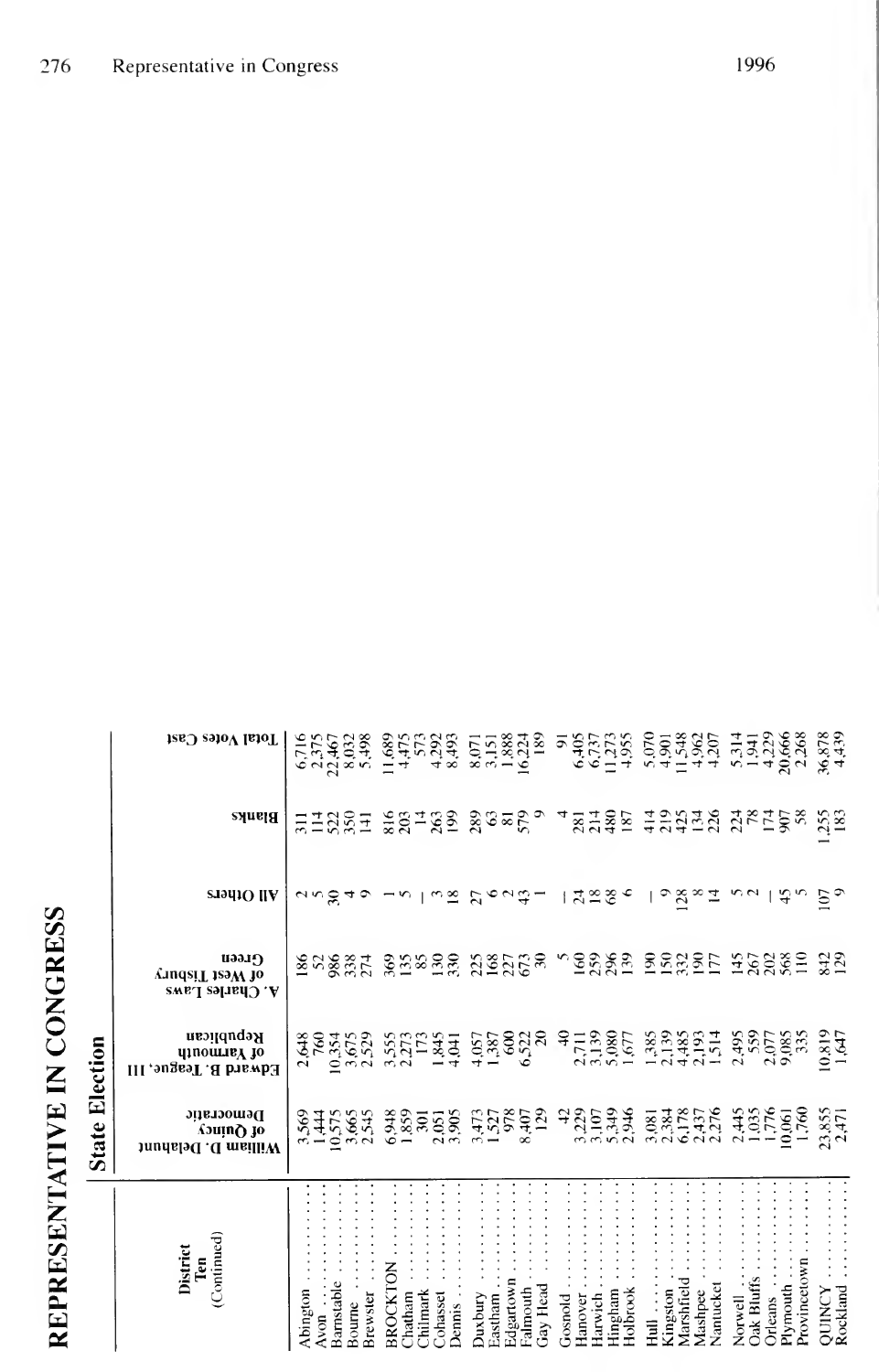|                                | <b>State Election</b>                                 |                                                   |                                                                  |                   |                                                                                                         |                                |
|--------------------------------|-------------------------------------------------------|---------------------------------------------------|------------------------------------------------------------------|-------------------|---------------------------------------------------------------------------------------------------------|--------------------------------|
| (Continued)<br>District<br>Ten | Democratic<br>√упін∑ 10<br><b>Milliam D. Delahunt</b> | Republican<br>циошлед јо<br>Edward B. Teague, III | <b>u</b> aare<br>Annasi I 1səM 10<br>$\mathbf{y}$ . Charles Laws | <b>SJ941O IIV</b> | syuetg                                                                                                  | $18B$ ) $5310A$ $1810$         |
| Abington                       |                                                       | 2,648                                             | 186                                                              |                   |                                                                                                         |                                |
| Avon                           | $\frac{3569}{1,44}$                                   | 760                                               | 58827                                                            | 250               | Ξ                                                                                                       | $6,716$<br>$2,375$<br>$22,467$ |
| <b>Barnstable</b>              |                                                       | 10,354                                            |                                                                  |                   |                                                                                                         |                                |
| Bourne                         |                                                       |                                                   |                                                                  |                   |                                                                                                         | 8,032                          |
| Brewster                       | 10,575<br>3,665<br>2,545                              | 3,675                                             |                                                                  |                   | $322$<br>$-12$                                                                                          | 5,498                          |
| <b>BROCKTON</b>                | 6,948                                                 |                                                   |                                                                  |                   |                                                                                                         |                                |
| Chatham                        | 1,859<br>301                                          | 3,555<br>2,273                                    | <b>SHARK</b>                                                     | $-6$              |                                                                                                         | 11,689<br>4,475                |
| Chilmark                       |                                                       |                                                   |                                                                  |                   |                                                                                                         |                                |
| Cohasset                       |                                                       | $\frac{173}{1.845}$                               |                                                                  |                   |                                                                                                         | 573<br>4292                    |
| <b>Dennis</b>                  | 2,051                                                 | 1,041                                             |                                                                  |                   |                                                                                                         | 8,493                          |
| Duxbury                        |                                                       |                                                   |                                                                  | $\frac{38}{27}$   | 2222222                                                                                                 | $\frac{8.071}{3.151}$          |
| Eastham                        | 473<br>$\sim$ $-$                                     |                                                   |                                                                  |                   |                                                                                                         |                                |
| Edgartown                      | 978                                                   | $\frac{1,057}{1,387}$                             | 3255.58                                                          | $\circ$ and $-$   |                                                                                                         | 1,888<br>16,224                |
| Falmouth                       | 8,407                                                 | 6,522                                             |                                                                  |                   |                                                                                                         |                                |
| Gay Head                       | 129                                                   | $\mathbf{z}$                                      |                                                                  |                   |                                                                                                         | 189                            |
| Gospold                        | $\ddot{r}$                                            | ş                                                 |                                                                  |                   |                                                                                                         | 5                              |
| Hanover                        |                                                       |                                                   |                                                                  |                   |                                                                                                         | 6,405                          |
| Harwich                        |                                                       |                                                   |                                                                  |                   |                                                                                                         | $6,737$<br>11,273              |
| Hingham                        | 22528                                                 | 2,711<br>3,139<br>5,080<br>1.677                  | nggga                                                            | 1328e             | 81480                                                                                                   |                                |
| <b>Jolbrook</b>                |                                                       |                                                   |                                                                  |                   |                                                                                                         | 4,955                          |
| Hull $\ldots$                  | 3.3317876                                             | 1,38,48,51,43,14                                  | 32285                                                            |                   |                                                                                                         | $5.070$<br>1.548<br>11.548     |
| Kingston                       |                                                       |                                                   |                                                                  |                   |                                                                                                         |                                |
| Marshfield                     |                                                       |                                                   |                                                                  | $\frac{9882}{2}$  |                                                                                                         |                                |
| Mashpee                        |                                                       |                                                   |                                                                  |                   |                                                                                                         | 4,962                          |
| Nantucket                      |                                                       |                                                   |                                                                  |                   |                                                                                                         | 4,207                          |
| Norwell                        | 2,445                                                 | 2,495                                             |                                                                  | 52                | $\frac{4}{3}$ $\frac{23}{4}$ $\frac{23}{4}$ $\frac{23}{4}$ $\frac{23}{4}$ $\frac{25}{4}$ $\frac{25}{4}$ | 5,314<br>1,941<br>4,229        |
| <b>Dak Bluffs</b>              | $\frac{1,035}{1,776}$                                 | 559                                               |                                                                  |                   |                                                                                                         |                                |
| <b>Orleans</b>                 |                                                       | 2,077                                             |                                                                  |                   |                                                                                                         |                                |
| Provincetown<br>Plymouth       | 1,760<br>10,061                                       | 335<br>9,085                                      | 198882                                                           | $14^{\circ}$      | $\frac{8}{2}$                                                                                           | 20,666<br>2.268                |
| QUINCY                         |                                                       | 10,819                                            |                                                                  |                   |                                                                                                         |                                |
| Rockland                       | 23,855<br>2,471                                       | 1,647                                             | 842                                                              | $\bar{\rho}_o$    | $\frac{255}{183}$                                                                                       | 36,878<br>4,439                |